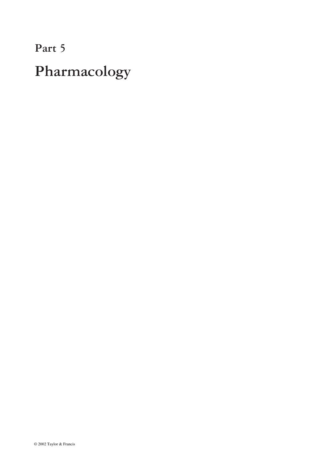**Part 5**

**Pharmacology**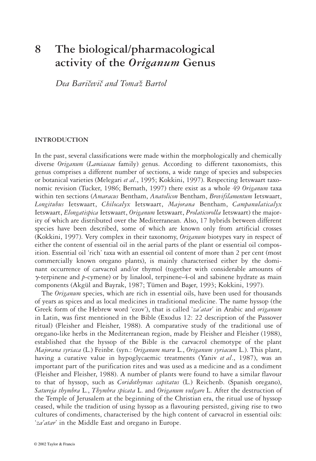# **8 The biological/pharmacological activity of the** *Origanum* **Genus**

*Dea Bariˇceviˇc and Tomaˇz Bartol*

#### **INTRODUCTION**

In the past, several classifications were made within the morphologically and chemically diverse *Origanum* (*Lamiaceae* family) genus. According to different taxonomists, this genus comprises a different number of sections, a wide range of species and subspecies or botanical varieties (Melegari *et al*., 1995; Kokkini, 1997). Respecting Ietswaart taxonomic revision (Tucker, 1986; Bernath, 1997) there exist as a whole 49 *Origanum* taxa within ten sections (*Amaracus* Bentham, *Anatolicon* Bentham, *Brevifilamentum* Ietswaart, *Longitubus* Ietswaart, *Chilocalyx* Ietswaart, *Majorana* Bentham, *Campanulaticalyx* Ietswaart, *Elongatispica* Ietswaart, *Origanum* Ietswaart, *Prolaticorolla* Ietswaart) the majority of which are distributed over the Mediterranean. Also, 17 hybrids between different species have been described, some of which are known only from artificial crosses (Kokkini, 1997). Very complex in their taxonomy, *Origanum* biotypes vary in respect of either the content of essential oil in the aerial parts of the plant or essential oil composition. Essential oil 'rich' taxa with an essential oil content of more than 2 per cent (most commercially known oregano plants), is mainly characterised either by the dominant occurrence of carvacrol and/or thymol (together with considerable amounts of  $\gamma$ -terpinene and *p*-cymene) or by linalool, terpinene-4-ol and sabinene hydrate as main components (Akgül and Bayrak, 1987; Tümen and Başer, 1993; Kokkini, 1997).

The *Origanum* species, which are rich in essential oils, have been used for thousands of years as spices and as local medicines in traditional medicine. The name hyssop (the Greek form of the Hebrew word 'ezov'), that is called '*za'atar*' in Arabic and *origanum* in Latin, was first mentioned in the Bible (Exodus 12: 22 description of the Passover ritual) (Fleisher and Fleisher, 1988). A comparative study of the traditional use of oregano-like herbs in the Mediterranean region, made by Fleisher and Fleisher (1988), established that the hyssop of the Bible is the carvacrol chemotype of the plant *Majorana syriaca* (L.) Feinbr. (syn.: *Origanum maru* L., *Origanum syriacum* L.). This plant, having a curative value in hypoglycaemic treatments (Yaniv *et al*., 1987), was an important part of the purification rites and was used as a medicine and as a condiment (Fleisher and Fleisher, 1988). A number of plants were found to have a similar flavour to that of hyssop, such as *Coridothymus capitatus* (L.) Reichenb. (Spanish oregano), *Satureja thymbra* L., *Thymbra spicata* L. and *Origanum vulgare* L. After the destruction of the Temple of Jerusalem at the beginning of the Christian era, the ritual use of hyssop ceased, while the tradition of using hyssop as a flavouring persisted, giving rise to two cultures of condiments, characterised by the high content of carvacrol in essential oils: '*za'atar*' in the Middle East and oregano in Europe.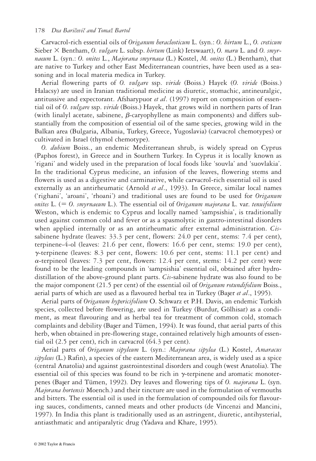#### 178 *Dea Bariˇceviˇc and Tomaˇz Bartol*

Carvacrol-rich essential oils of *Origanum heracleoticum* L. (syn.: *O. hirtum* L., *O. creticum* Sieber Bentham, *O. vulgare* L. subsp. *hirtum* (Link) Ietswaart), *O. maru* L. and *O. smyrnaeum* L. (syn.: *O. onites* L., *Majorana smyrnaea* (L.) Kostel, *M. onites* (L.) Bentham), that are native to Turkey and other East Mediterranean countries, have been used as a seasoning and in local materia medica in Turkey.

Aerial flowering parts of *O. vulgare* ssp. *viride* (Boiss.) Hayek (*O. viride* (Boiss.) Halacsy) are used in Iranian traditional medicine as diuretic, stomachic, antineuralgic, antitussive and expectorant. Afsharypuor *et al*. (1997) report on composition of essential oil of *O. vulgare* ssp. *viride* (Boiss.) Hayek, that grows wild in northern parts of Iran (with linalyl acetate, sabinene,  $\beta$ -caryophyllene as main components) and differs substantially from the composition of essential oil of the same species, growing wild in the Balkan area (Bulgaria, Albania, Turkey, Greece, Yugoslavia) (carvacrol chemotypes) or cultivated in Israel (thymol chemotype).

*O. dubium* Boiss., an endemic Mediterranean shrub, is widely spread on Cyprus (Paphos forest), in Greece and in Southern Turkey. In Cyprus it is locally known as 'rigani' and widely used in the preparation of local foods like 'souvla' and 'suovlakia'. In the traditional Cyprus medicine, an infusion of the leaves, flowering stems and flowers is used as a digestive and carminative, while carvacrol-rich essential oil is used externally as an antirheumatic (Arnold *et al*., 1993). In Greece, similar local names ('righani', 'aroani', 'rhoani') and traditional uses are found to be used for *Origanum onites* L. ( *O. smyrnaeum* L.). The essential oil of *Origanum majorana* L. var. *tenuifolium* Weston, which is endemic to Cyprus and locally named 'sampsishia', is traditionally used against common cold and fever or as a spasmolytic in gastro-intestinal disorders when applied internally or as an antirheumatic after external administration. *Cis*sabinene hydrate (leaves: 33.3 per cent, flowers: 24.0 per cent, stems: 7.4 per cent), terpinene-4-ol (leaves: 21.6 per cent, flowers: 16.6 per cent, stems: 19.0 per cent), --terpinene (leaves: 8.3 per cent, flowers: 10.6 per cent, stems: 11.1 per cent) and -terpineol (leaves: 7.3 per cent, flowers: 12.4 per cent, stems: 14.2 per cent) were found to be the leading compounds in 'sampsishia' essential oil, obtained after hydrodistillation of the above-ground plant parts. *Cis*-sabinene hydrate was also found to be the major component (21.5 per cent) of the essential oil of *Origanum rotundifolium* Boiss., aerial parts of which are used as a flavoured herbal tea in Turkey (Baser *et al.*, 1995).

Aerial parts of *Origanum hypericifolium* O. Schwarz et P.H. Davis, an endemic Turkish species, collected before flowering, are used in Turkey (Burdur, Gölhisar) as a condiment, as meat flavouring and as herbal tea for treatment of common cold, stomach complaints and debility (Baser and Tümen, 1994). It was found, that aerial parts of this herb, when obtained in pre-flowering stage, contained relatively high amounts of essential oil (2.5 per cent), rich in carvacrol (64.3 per cent).

Aerial parts of *Origanum sipyleum* L. (syn.: *Majorana sipylea* (L.) Kostel, *Amaracus sipyleus* (L.) Rafin), a species of the eastern Mediterranean area, is widely used as a spice (central Anatolia) and against gastrointestinal disorders and cough (west Anatolia). The essential oil of this species was found to be rich in  $\gamma$ -terpinene and aromatic monoterpenes (Baser and Tümen, 1992). Dry leaves and flowering tips of *O. majorana* L. (syn. *Majorana hortensis* Moench.) and their tincture are used in the formulation of vermouths and bitters. The essential oil is used in the formulation of compounded oils for flavouring sauces, condiments, canned meats and other products (de Vincenzi and Mancini, 1997). In India this plant is traditionally used as an astringent, diuretic, antihysterial, antiasthmatic and antiparalytic drug (Yadava and Khare, 1995).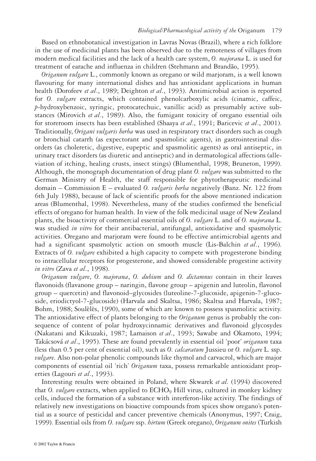Based on ethnobotanical investigation in Lavras Novas (Brazil), where a rich folklore in the use of medicinal plants has been observed due to the remoteness of villages from modern medical facilities and the lack of a health care system, *O. majorana* L. is used for treatment of earache and influenza in children (Stehmann and Brandão, 1995).

*Origanum vulgare* L., commonly known as oregano or wild marjoram, is a well known flavouring for many international dishes and has antioxidant applications in human health (Dorofeev *et al*., 1989; Deighton *et al*., 1993). Antimicrobial action is reported for *O. vulgare* extracts, which contained phenolcarboxylic acids (cinamic, caffeic, *p*-hydroxybenzoic, syringic, protocatechuic, vanillic acid) as presumably active substances (Mirovich *et al*., 1989). Also, the fumigant toxicity of oregano essential oils for storeroom insects has been established (Shaaya *et al*., 1991; Baricevic *et al*., 2001). Traditionally, *Origani vulgaris herba* was used in respiratory tract disorders such as cough or bronchial catarrh (as expectorant and spasmolitic agents), in gastrointestinal disorders (as choleretic, digestive, eupeptic and spasmolitic agents) as oral antiseptic, in urinary tract disorders (as diuretic and antiseptic) and in dermatological affections (alleviation of itching, healing crusts, insect stings) (Blumenthal, 1998; Bruneton, 1999). Although, the monograph documentation of drug plant *O. vulgare* was submitted to the German Ministry of Health, the staff responsible for phytotherapeutic medicinal domain – Commission E – evaluated *O. vulgaris herba* negatively (Banz. Nr. 122 from 6th July 1988), because of lack of scientific proofs for the above mentioned indication areas (Blumenthal, 1998). Nevertheless, many of the studies confirmed the beneficial effects of oregano for human health. In view of the folk medicinal usage of New Zealand plants, the bioactivity of commercial essential oils of *O. vulgare* L. and of *O. majorana* L. was studied *in vitro* for their antibacterial, antifungal, antioxidative and spasmolytic activities. Oregano and marjoram were found to be effective antimicrobial agents and had a significant spasmolytic action on smooth muscle (Lis-Balchin *et al*., 1996). Extracts of *O. vulgare* exhibited a high capacity to compete with progesterone binding to intracellular receptors for progesterone, and showed considerable progestine activity *in vitro* (Zava *et al*., 1998).

*Origanum vulgare*, *O. majorana*, *O. dubium* and *O. dictamnus* contain in their leaves flavonoids (flavanone group – naringin, flavone group – apigenin and luteolin, flavonol group – quercetin) and flavonoid–glycosides (luteoline-7-glucoside, apigenin-7-glucoside, eriodictyol-7-glucoside) (Harvala and Skaltsa, 1986; Skaltsa and Harvala, 1987; Bohm, 1988; Soulèlès, 1990), some of which are known to possess spasmolitic activity. The antioxidative effect of plants belonging to the *Origanum* genus is probably the consequence of content of polar hydroxycinnamic derivatives and flavonoid glycosydes (Nakatani and Kikuzaki, 1987; Lamaison *et al*., 1993; Sawabe and Okamoto, 1994; Takácsová *et al*., 1995). These are found prevalently in essential oil 'poor' *origanum* taxa (less than 0.5 per cent of essential oil), such as *O. calcaratum* Jussieu or *O. vulgare* L. ssp. *vulgare*. Also non-polar phenolic compounds like thymol and carvacrol, which are major components of essential oil 'rich' *Origanum* taxa, possess remarkable antioxidant properties (Lagouri *et al*., 1993).

Interesting results were obtained in Poland, where Skwarek *et al.* (1994) discovered that *O. vulgare* extracts, when applied to ECHO<sub>0</sub> Hill virus, cultured in monkey kidney cells, induced the formation of a substance with interferon-like activity. The findings of relatively new investigations on bioactive compounds from spices show oregano's potential as a source of pesticidal and cancer preventive chemicals (Anonymus, 1997; Craig, 1999). Essential oils from *O. vulgare* ssp. *hirtum* (Greek oregano), *Origanum onites* (Turkish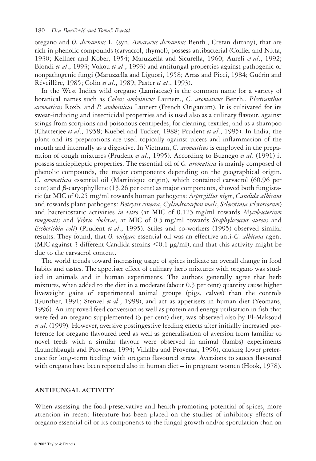oregano and *O. dictamnus* L. (syn. *Amaracus dictamnus* Benth., Cretan dittany), that are rich in phenolic compounds (carvacrol, thymol), possess antibacterial (Collier and Nitta, 1930; Kellner and Kober, 1954; Maruzzella and Sicurella, 1960; Aureli *et al*., 1992; Biondi *et al*., 1993; Vokou *et al*., 1993) and antifungal properties against pathogenic or nonpathogenic fungi (Maruzzella and Liguori, 1958; Arras and Picci, 1984; Guérin and Réveillère, 1985; Colin *et al*., 1989; Paster *et al*., 1993).

In the West Indies wild oregano (Lamiaceae) is the common name for a variety of botanical names such as *Coleus amboinicus* Launert., *C. aromaticus* Benth., *Plectranthus aromaticus* Roxb. and *P. amboinicus* Launert (French Origanum). It is cultivated for its sweat-inducing and insecticidal properties and is used also as a culinary flavour, against stings from scorpions and poisonous centipedes, for cleaning textiles, and as a shampoo (Chatterjee *et al*., 1958; Kuebel and Tucker, 1988; Prudent *et al*., 1995). In India, the plant and its preparations are used topically against ulcers and inflammation of the mouth and internally as a digestive. In Vietnam, *C. aromaticus* is employed in the preparation of cough mixtures (Prudent *et al*., 1995). According to Buznego *et al*. (1991) it possess antiepileptic properties. The essential oil of *C. aromaticus* is mainly composed of phenolic compounds, the major components depending on the geographical origin. *C. aromaticus* essential oil (Martinique origin), which contained carvacrol (60.96 per cent) and  $\beta$ -caryophyllene (13.26 per cent) as major components, showed both fungistatic (at MIC of 0.25 mg/ml towards human pathogens: *Aspergillus niger*, *Candida albicans* and towards plant pathogens: *Botrytis cinerea*, *Cylindrocarpon mali*, *Sclerotinia sclerotiorum*) and bacteriostatic activities *in vitro* (at MIC of 0.125 mg/ml towards *Mycobacterium smegmatis* and *Vibrio cholerae*, at MIC of 0.5 mg/ml towards *Staphylococcus aureus* and *Escherichia coli*) (Prudent *et al*., 1995). Stiles and co-workers (1995) observed similar results. They found, that *O. vulgare* essential oil was an effective anti-*C. albicans* agent (MIC against 3 different Candida strains  $\leq 0.1$  µg/ml), and that this activity might be due to the carvacrol content.

The world trends toward increasing usage of spices indicate an overall change in food habits and tastes. The appetiser effect of culinary herb mixtures with oregano was studied in animals and in human experiments. The authors generally agree that herb mixtures, when added to the diet in a moderate (about 0.3 per cent) quantity cause higher liveweight gains of experimental animal groups (pigs, calves) than the controls (Gunther, 1991; Stenzel *et al*., 1998), and act as appetisers in human diet (Yeomans, 1996). An improved feed conversion as well as protein and energy utilisation in fish that were fed an oregano supplemented (3 per cent) diet, was observed also by El-Maksoud *et al*. (1999). However, aversive postingestive feeding effects after initially increased preference for oregano flavoured feed as well as generalisation of aversion from familiar to novel feeds with a similar flavour were observed in animal (lambs) experiments (Launchbaugh and Provenza, 1994; Villalba and Provenza, 1996), causing lower preference for long-term feeding with oregano flavoured straw. Aversions to sauces flavoured with oregano have been reported also in human diet – in pregnant women (Hook, 1978).

# **ANTIFUNGAL ACTIVITY**

When assessing the food-preservative and health promoting potential of spices, more attention in recent literature has been placed on the studies of inhibitory effects of oregano essential oil or its components to the fungal growth and/or sporulation than on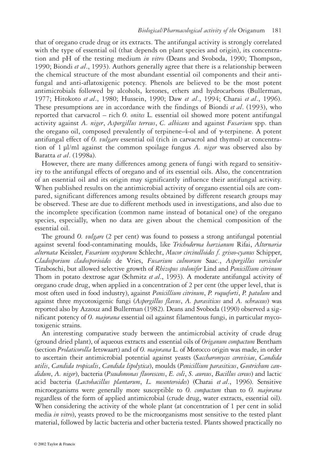that of oregano crude drug or its extracts. The antifungal activity is strongly correlated with the type of essential oil (that depends on plant species and origin), its concentration and pH of the testing medium *in vitro* (Deans and Svoboda, 1990; Thompson, 1990; Biondi *et al*., 1993). Authors generally agree that there is a relationship between the chemical structure of the most abundant essential oil components and their antifungal and anti-aflatoxigenic potency. Phenols are believed to be the most potent antimicrobials followed by alcohols, ketones, ethers and hydrocarbons (Bullerman, 1977; Hitokoto *et al*., 1980; Hussein, 1990; Daw *et al*., 1994; Charai *et al*., 1996). These presumptions are in accordance with the findings of Biondi *et al*. (1993), who reported that carvacrol – rich *O. onites* L. essential oil showed more potent antifungal activity against *A. niger*, *Aspergillus terreus*, *C. albicans* and against *Fusarium* spp. than the oregano oil, composed prevalently of terpinene-4-ol and of  $\gamma$ -terpinene. A potent antifungal effect of *O. vulgare* essential oil (rich in carvacrol and thymol) at concentration of 1 µl/ml against the common spoilage fungus *A. niger* was observed also by Baratta *et al*. (1998a).

However, there are many differences among genera of fungi with regard to sensitivity to the antifungal effects of oregano and of its essential oils. Also, the concentration of an essential oil and its origin may significantly influence their antifungal activity. When published results on the antimicrobial activity of oregano essential oils are compared, significant differences among results obtained by different research groups may be observed. These are due to different methods used in investigations, and also due to the incomplete specification (common name instead of botanical one) of the oregano species, especially, when no data are given about the chemical composition of the essential oil.

The ground *O. vulgare* (2 per cent) was found to possess a strong antifungal potential against several food-contaminating moulds, like *Trichoderma harzianum* Rifai, *Alternaria alternata* Keissler, *Fusarium oxysporum* Schlecht, *Mucor circinelloides f. griseo-cyanus* Schipper, *Cladosporium cladosporioides* de Vries, *Fusarium culmorum* Saac., *Aspergillus versicolor* Tiraboschi, but allowed selective growth of *Rhizopus stolonifer* Lind and *Penicillium citrinum* Thom in potato dextrose agar (Schmitz *et al*., 1993). A moderate antifungal activity of oregano crude drug, when applied in a concentration of 2 per cent (the upper level, that is most often used in food industry), against *Penicillium citrinum*, *P. roqueforti*, *P. patulum* and against three mycotoxigenic fungi (*Aspergillus flavus*, *A. parasiticus* and *A. ochraceus*) was reported also by Azzouz and Bullerman (1982). Deans and Svoboda (1990) observed a significant potency of *O. majorana* essential oil against filamentous fungi, in particular mycotoxigenic strains.

An interesting comparative study between the antimicrobial activity of crude drug (ground dried plant), of aqueous extracts and essential oils of *Origanum compactum* Bentham (section *Prolaticorolla* Ietswaart) and of *O. majorana* L. of Morocco origin was made, in order to ascertain their antimicrobial potential against yeasts (*Saccharomyces cerevisiae*, *Candida utilis*, *Candida tropicalis*, *Candida lipolytica*), moulds (*Penicillium parasiticus*, *Geotrichum candidum*, *A. niger*), bacteria (*Pseudomonas fluorescens*, *E. coli*, *S. aureus*, *Bacillus cereus*) and lactic acid bacteria (*Lactobacillus plantarum*, *L. mesenteroides*) (Charai *et al*., 1996). Sensitive microorganisms were generally more susceptible to *O. compactum* than to *O. majorana* regardless of the form of applied antimicrobial (crude drug, water extracts, essential oil). When considering the activity of the whole plant (at concentration of 1 per cent in solid media *in vitro*), yeasts proved to be the microorganisms most sensitive to the tested plant material, followed by lactic bacteria and other bacteria tested. Plants showed practically no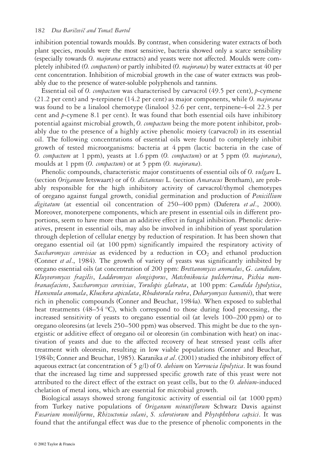inhibition potential towards moulds. By contrast, when considering water extracts of both plant species, moulds were the most sensitive, bacteria showed only a scarce sensibility (especially towards *O. majorana* extracts) and yeasts were not affected. Moulds were completely inhibited (*O. compactum*) or partly inhibited (*O. majorana*) by water extracts at 40 per cent concentration. Inhibition of microbial growth in the case of water extracts was probably due to the presence of water-soluble polyphenols and tannins.

Essential oil of *O. compactum* was characterised by carvacrol (49.5 per cent), *p*-cymene (21.2 per cent) and γ-terpinene (14.2 per cent) as major components, while *0. majorana* was found to be a linalool chemotype (linalool 32.6 per cent, terpinene-4-ol 22.3 per cent and *p*-cymene 8.1 per cent). It was found that both essential oils have inhibitory potential against microbial growth, *O. compactum* being the more potent inhibitor, probably due to the presence of a highly active phenolic moiety (carvacrol) in its essential oil. The following concentrations of essential oils were found to completely inhibit growth of tested microorganisms: bacteria at 4 ppm (lactic bacteria in the case of *O. compactum* at 1 ppm), yeasts at 1.6 ppm (*O. compactum*) or at 5 ppm (*O. majorana*), moulds at 1 ppm (*O. compactum*) or at 5 ppm (*O. majorana*).

Phenolic compounds, characteristic major constituents of essential oils of *O. vulgare* L. (section *Origanum* Ietswaart) or of *O. dictamnus* L. (section *Amaracus* Bentham), are probably responsible for the high inhibitory activity of carvacrol/thymol chemotypes of oregano against fungal growth, conidial germination and production of *Penicillium digitatum* (at essential oil concentration of 250–400 ppm) (Daferera *et al*., 2000). Moreover, monoterpene components, which are present in essential oils in different proportions, seem to have more than an additive effect in fungal inhibition. Phenolic derivatives, present in essential oils, may also be involved in inhibition of yeast sporulation through depletion of cellular energy by reduction of respiration. It has been shown that oregano essential oil (at 100 ppm) significantly impaired the respiratory activity of *Saccharomyces cerevisiae* as evidenced by a reduction in CO<sub>2</sub> and ethanol production (Conner *et al*., 1984). The growth of variety of yeasts was significantly inhibited by oregano essential oils (at concentration of 200 ppm: *Brettanomyces anomalus*, *G. candidum, Kluyveromyces fragilis*, *Lodderomyces elongisporus*, *Metchnikowia pulcherrima*, *Pichia membranaefaciens*, *Saccharomyces cerevisiae*, *Torulopis glabrata*, at 100 ppm: *Candida lypolytica*, *Hansenula anomala*, *Kloeckera apiculata*, *Rhodotorula rubra*, *Debaryomyces hansenii*), that were rich in phenolic compounds (Conner and Beuchat, 1984a). When exposed to sublethal heat treatments (48–54 °C), which correspond to those during food processing, the increased sensitivity of yeasts to oregano essential oil (at levels 100–200 ppm) or to oregano oleoresins (at levels 250–500 ppm) was observed. This might be due to the synergistic or additive effect of oregano oil or oleoresin (in combination with heat) on inactivation of yeasts and due to the affected recovery of heat stressed yeast cells after treatment with oleoresin, resulting in low viable populations (Conner and Beuchat, 1984b; Conner and Beuchat, 1985). Karanika *et al*. (2001) studied the inhibitory effect of aqueous extract (at concentration of 5 g/l) of *O. dubium* on *Yarrowia lipolytica*. It was found that the increased lag time and suppressed specific growth rate of this yeast were not attributed to the direct effect of the extract on yeast cells, but to the *O. dubium*-induced chelation of metal ions, which are essential for microbial growth.

Biological assays showed strong fungitoxic activity of essential oil (at 1000 ppm) from Turkey native populations of *Origanum minutiflorum* Schwarz Davis against *Fusarium moniliforme*, *Rhizoctonia solani*, *S. sclerotiorum* and *Phytophthora capsici*. It was found that the antifungal effect was due to the presence of phenolic components in the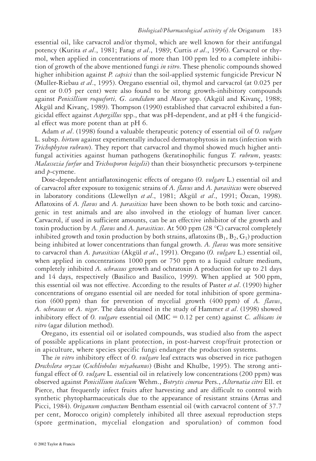essential oil, like carvacrol and/or thymol, which are well known for their antifungal potency (Kurita *et al*., 1981; Farag *et al*., 1989; Curtis *et al*., 1996). Carvacrol or thymol, when applied in concentrations of more than 100 ppm led to a complete inhibition of growth of the above mentioned fungi *in vitro*. These phenolic compounds showed higher inhibition against *P. capsici* than the soil-applied systemic fungicide Previcur N (Muller-Riebau *et al*., 1995). Oregano essential oil, thymol and carvacrol (at 0.025 per cent or 0.05 per cent) were also found to be strong growth-inhibitory compounds against *Penicillium roqueforti, G. candidum* and *Mucor* spp. (Akgül and Kivanç, 1988; Akgül and Kivanç, 1989). Thompson (1990) established that carvacrol exhibited a fungicidal effect against *Aspergillus* spp., that was pH-dependent, and at pH 4 the fungicidal effect was more potent than at pH 6.

Adam *et al*. (1998) found a valuable therapeutic potency of essential oil of *O. vulgare* L. subsp. *hirtum* against experimentally induced dermatophytosis in rats (infection with *Trichophyton rubrum*). They report that carvacrol and thymol showed much higher antifungal activities against human pathogens (keratinophilic fungus *T. rubrum*, yeasts: M*alassezia furfur* and *Trichosporon beigelii*) than their biosynthetic precursors  $\gamma$ -terpinene and *p*-cymene.

Dose-dependent antiaflatoxinogenic effects of oregano (*O. vulgare* L.) essential oil and of carvacrol after exposure to toxigenic strains of *A. flavus* and *A. parasiticus* were observed in laboratory conditions (Llewellyn *et al*., 1981; Akgül *et al*., 1991; Özcan, 1998). Aflatoxins of *A. flavus* and *A. parasiticus* have been shown to be both toxic and carcinogenic in test animals and are also involved in the etiology of human liver cancer. Carvacrol, if used in sufficient amounts, can be an effective inhibitor of the growth and toxin production by *A. flavus* and *A. parasiticus*. At 500 ppm (28 °C) carvacrol completely inhibited growth and toxin production by both strains, aflatoxins  $(B_1, B_2, G_1)$  production being inhibited at lower concentrations than fungal growth. *A. flavus* was more sensitive to carvacrol than *A. parasiticus* (Akgül *et al*., 1991). Oregano (*O. vulgare* L.) essential oil, when applied in concentrations 1000 ppm or 750 ppm to a liquid culture medium, completely inhibited *A. ochraceus* growth and ochratoxin A production for up to 21 days and 14 days, respectively (Basilico and Basilico, 1999). When applied at 500 ppm, this essential oil was not effective. According to the results of Paster *et al*. (1990) higher concentrations of oregano essential oil are needed for total inhibition of spore germination (600 ppm) than for prevention of mycelial growth (400 ppm) of *A. flavus*, *A. ochraceus* or *A. niger*. The data obtained in the study of Hammer *et al*. (1998) showed inhibitory effect of *O. vulgare* essential oil (MIC = 0.12 per cent) against *C. albicans in vitro* (agar dilution method).

Oregano, its essential oil or isolated compounds, was studied also from the aspect of possible applications in plant protection, in post-harvest crop/fruit protection or in apiculture, where species specific fungi endanger the production systems.

The *in vitro* inhibitory effect of *O. vulgare* leaf extracts was observed in rice pathogen *Drechslera oryzae* (*Cochliobolus miyabeanus*) (Bisht and Khulbe, 1995). The strong antifungal effect of *O. vulgare* L. essential oil in relatively low concentrations (200 ppm) was observed against *Penicillium italicum* Wehm., *Botrytis cinerea* Pers., *Alternatia citri* Ell. et Pierce, that frequently infect fruits after harvesting and are difficult to control with synthetic phytopharmaceuticals due to the appearance of resistant strains (Arras and Picci, 1984). *Origanum compactum* Bentham essential oil (with carvacrol content of 37.7 per cent, Morocco origin) completely inhibited all three asexual reproduction steps (spore germination, mycelial elongation and sporulation) of common food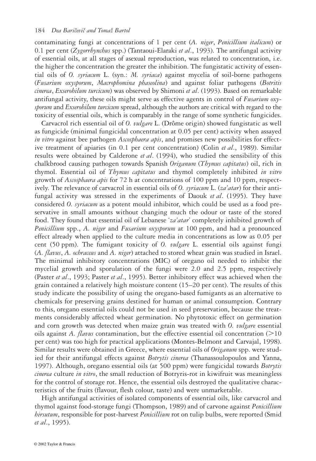contaminating fungi at concentrations of 1 per cent (*A. niger*, *Penicillium italicum*) or 0.1 per cent (*Zygorrhynchus* spp.) (Tantaoui-Elaraki *et al*., 1993). The antifungal activity of essential oils, at all stages of asexual reproduction, was related to concentration, i.e. the higher the concentration the greater the inhibition. The fungistatic activity of essential oils of *O. syriacum* L. (syn.: *M. syriaca*) against mycelia of soil-borne pathogens (*Fusarium oxysporum*, *Macrophomina phaseolina*) and against foliar pathogens (*Botritis cinerea*, *Exserohilum turcicum*) was observed by Shimoni *et al*. (1993). Based on remarkable antifungal activity, these oils might serve as effective agents in control of *Fusarium oxysporum* and *Exserohilum turcicum* spread, although the authors are critical with regard to the toxicity of essential oils, which is comparably in the range of some synthetic fungicides.

Carvacrol rich essential oil of *O. vulgare* L. (Drôme origin) showed fungistatic as well as fungicide (minimal fungicidal concentration at 0.05 per cent) activity when assayed *in vitro* against bee pathogen *Ascosphaera apis*, and promises new possibilities for effective treatment of apiaries (in 0.1 per cent concentration) (Colin *et al*., 1989). Similar results were obtained by Calderone *et al*. (1994), who studied the sensibility of this chalkbrood causing pathogen towards Spanish *Origanum* (*Thymus capitatus*) oil, rich in thymol. Essential oil of *Thymus capitatus* and thymol completely inhibited *in vitro* growth of *Ascosphaera apis* for 72 h at concentrations of 100 ppm and 10 ppm, respectively. The relevance of carvacrol in essential oils of *O. syriacum* L. (*za'atar*) for their antifungal activity was stressed in the experiments of Daouk *et al*. (1995). They have considered *O. syriacum* as a potent mould inhibitor, which could be used as a food preservative in small amounts without changing much the odour or taste of the stored food. They found that essential oil of Lebanese '*za'atar*' completely inhibited growth of *Penicillium* spp., *A. niger* and *Fusarium oxysporum* at 100 ppm, and had a pronounced effect already when applied to the culture media in concentrations as low as 0.05 per cent (50 ppm). The fumigant toxicity of *O. vulgare* L. essential oils against fungi (*A. flavus*, *A. ochraceus* and *A. niger*) attached to stored wheat grain was studied in Israel. The minimal inhibitory concentrations (MIC) of oregano oil needed to inhibit the mycelial growth and sporulation of the fungi were 2.0 and 2.5 ppm, respectively (Paster *et al*., 1993; Paster *et al*., 1995). Better inhibitory effect was achieved when the grain contained a relatively high moisture content (15–20 per cent). The results of this study indicate the possibility of using the oregano-based fumigants as an alternative to chemicals for preserving grains destined for human or animal consumption. Contrary to this, oregano essential oils could not be used in seed preservation, because the treatments considerably affected wheat germination. No phytotoxic effect on germination and corn growth was detected when maize grain was treated with *O. vulgare* essential oils against *A. flavus* contamination, but the effective essential oil concentration  $($ >10 per cent) was too high for practical applications (Montes-Belmont and Carvajal, 1998). Similar results were obtained in Greece, where essential oils of *Origanum* spp. were studied for their antifungal effects against *Botrytis cinerea* (Thanassoulopoulos and Yanna, 1997). Although, oregano essential oils (at 500 ppm) were fungicidal towards *Botrytis cinerea* culture *in vitro*, the small reduction of Botryris-rot in kiwifruit was meaningless for the control of storage rot. Hence, the essential oils destroyed the qualitative characteristics of the fruits (flavour, flesh colour, taste) and were unmarketable.

High antifungal activities of isolated components of essential oils, like carvacrol and thymol against food-storage fungi (Thompson, 1989) and of carvone against *Penicillium hirsutum*, responsible for post-harvest *Penicillium* rot on tulip bulbs, were reported (Smid *et al*., 1995).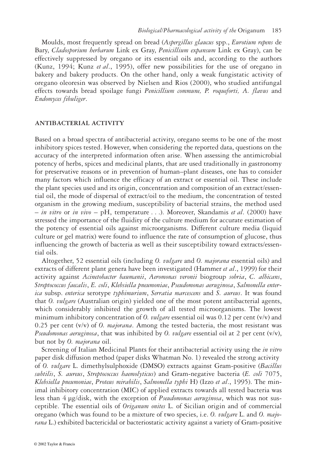Moulds, most frequently spread on bread (*Aspergillus glaucus* spp., *Eurotium repens* de Bary, *Cladosporium herbarum* Link ex Gray, *Penicillium expansum* Link ex Gray), can be effectively suppressed by oregano or its essential oils and, according to the authors (Kunz, 1994; Kunz *et al*., 1995), offer new possibilities for the use of oregano in bakery and bakery products. On the other hand, only a weak fungistatic activity of oregano oleoresin was observed by Nielsen and Rios (2000), who studied antifungal effects towards bread spoilage fungi *Penicillium commune, P. roqueforti, A. flavus* and *Endomyces fibuliger*.

# **ANTIBACTERIAL ACTIVITY**

Based on a broad spectra of antibacterial activity, oregano seems to be one of the most inhibitory spices tested. However, when considering the reported data, questions on the accuracy of the interpreted information often arise. When assessing the antimicrobial potency of herbs, spices and medicinal plants, that are used traditionally in gastronomy for preservative reasons or in prevention of human–plant diseases, one has to consider many factors which influence the efficacy of an extract or essential oil. These include the plant species used and its origin, concentration and composition of an extract/essential oil, the mode of dispersal of extract/oil to the medium, the concentration of tested organism in the growing medium, susceptibility of bacterial strains, the method used – *in vitro* or *in vivo* – pH, temperature . . .). Moreover, Skandamis *et al*. (2000) have stressed the importance of the fluidity of the culture medium for accurate estimation of the potency of essential oils against microorganisms. Different culture media (liquid culture or gel matrix) were found to influence the rate of consumption of glucose, thus influencing the growth of bacteria as well as their susceptibility toward extracts/essential oils.

Altogether, 52 essential oils (including *O. vulgare* and *O. majorana* essential oils) and extracts of different plant genera have been investigated (Hammer *et al*., 1999) for their activity against *Acinetobacter baumanii*, *Aeromonas veronii* biogroup *sobria*, *C. albicans*, *Streptococcus faecalis*, *E. coli*, *Klebsiella pneumoniae*, *Pseudomonas aeruginosa*, *Salmonella enterica* subsp. *enterica* serotype *typhimurium*, *Serratia marcescens* and *S. aureus*. It was found that *O. vulgare* (Australian origin) yielded one of the most potent antibacterial agents, which considerably inhibited the growth of all tested microorganisms. The lowest minimum inhibitory concentration of *O. vulgare* essential oil was 0.12 per cent (v/v) and 0.25 per cent (v/v) of *O. majorana*. Among the tested bacteria, the most resistant was *Pseudomonas aeruginosa*, that was inhibited by *O. vulgare* essential oil at 2 per cent (v/v), but not by *O. majorana* oil.

Screening of Italian Medicinal Plants for their antibacterial activity using the *in vitro* paper disk diffusion method (paper disks Whatman No. 1) revealed the strong activity of *O. vulgare* L. dimethylsulphoxide (DMSO) extracts against Gram-positive (*Bacillus subtilis*, *S. aureus*, *Streptococcus haemolyticus*) and Gram-negative bacteria (*E. coli* 7075, *Klebsiella pneumoniae*, *Proteus mirabilis*, *Salmonella typhi* H) (Izzo *et al*., 1995). The minimal inhibitory concentration (MIC) of applied extracts towards all tested bacteria was less than 4 µg/disk, with the exception of *Pseudomonas aeruginosa*, which was not susceptible. The essential oils of *Origanum onites* L. of Sicilian origin and of commercial oregano (which was found to be a mixture of two species, i.e. *O. vulgare* L. and *O. majorana* L.) exhibited bactericidal or bacteriostatic activity against a variety of Gram-positive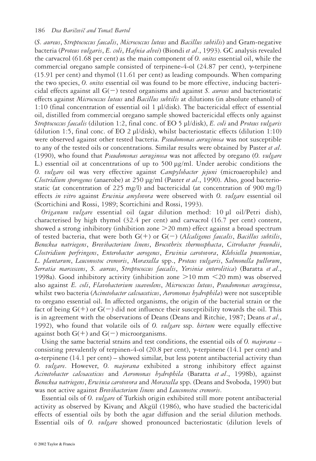(*S. aureus*, *Streptococcus faecalis*, *Micrococcus luteus* and *Bacillus subtilis*) and Gram-negative bacteria (*Proteus vulgaris*, *E. coli*, *Hafnia alvei*) (Biondi *et al*., 1993). GC analysis revealed the carvacrol (61.68 per cent) as the main component of *O. onites* essential oil, while the commercial oregano sample consisted of terpinene-4-ol (24.87 per cent),  $\gamma$ -terpinene (15.91 per cent) and thymol (11.61 per cent) as leading compounds. When comparing the two species, *O. onites* essential oil was found to be more effective, inducing bactericidal effects against all G( ) tested organisms and against *S. aureus* and bacteriostatic effects against *Micrococcus luteus* and *Bacillus subtilis* at dilutions (in absolute ethanol) of 1:10 (final concentration of essential oil 1 µl/disk). The bactericidal effect of essential oil, distilled from commercial oregano sample showed bactericidal effects only against *Streptococcus faecalis* (dilution 1:2, final conc. of EO 5 µl/disk), *E. coli* and *Proteus vulgaris* (dilution 1:5, final conc. of EO 2  $\mu$ /disk), whilst bacteriostatic effects (dilution 1:10) were observed against other tested bacteria. *Pseudomonas aeruginosa* was not susceptible to any of the tested oils or concentrations. Similar results were obtained by Paster *et al*. (1990), who found that *Pseudomonas aeruginosa* was not affected by oregano (*O. vulgare* L.) essential oil at concentrations of up to 500 µg/ml. Under aerobic conditions the *O. vulgare* oil was very effective against *Campylobacter jejuni* (microaerophile) and *Clostridium sporogenes* (anaerobe) at 250 µg/ml (Paster *et al*., 1990). Also, good bacteriostatic (at concentration of 225 mg/l) and bactericidal (at concentration of 900 mg/l) effects *in vitro* against *Erwinia amylovora* were observed with *O. vulgare* essential oil (Scortichini and Rossi, 1989; Scortichini and Rossi, 1993).

*Origanum vulgare* essential oil (agar dilution method: 10 µl oil/Petri dish), characterised by high thymol (32.4 per cent) and carvacrol (16.7 per cent) content, showed a strong inhibitory (inhibition zone  $>$ 20 mm) effect against a broad spectrum of tested bacteria, that were both G() or G( ) (*Alcaligenes faecalis*, *Bacillus subtilis*, *Beneckea natriegens*, *Brevibacterium linens*, *Brocothrix thermosphacta*, *Citrobacter freundii*, *Clostridium perfringens*, *Enterobacter aerogenes*, *Erwinia carotovora*, *Klebsiella pneumoniae*, *L. plantarum*, *Leuconostoc cremoris*, *Moraxella* spp., *Proteus vulgaris*, *Salmonella pullorum*, *Serratia marcescens*, *S. aureus*, *Streptococcus faecalis*, *Yersinia enterolitica*) (Baratta *et al*., 1998a). Good inhibitory activity (inhibition zone  $>10$  mm  $\leq$  20 mm) was observed also against *E. coli*, *Flavobacterium suaveolens*, *Micrococcus luteus*, *Pseudomonas aeruginosa*, whilst two bacteria (*Acinetobacter calcoaceticus*, *Aeromonas hydrophila*) were not susceptible to oregano essential oil. In affected organisms, the origin of the bacterial strain or the fact of being  $G(+)$  or  $G(-)$  did not influence their susceptibility towards the oil. This is in agreement with the observations of Deans (Deans and Ritchie, 1987; Deans *et al*., 1992), who found that volatile oils of *O. vulgare* ssp. *hirtum* were equally effective against both  $G(+)$  and  $G(-)$  microorganisms.

Using the same bacterial strains and test conditions, the essential oils of *O. majorana –* consisting prevalently of terpinen-4-ol (20.8 per cent),  $\gamma$ -terpinene (14.1 per cent) and  $\alpha$ -terpinene (14.1 per cent) – showed similar, but less potent antibacterial activity than *O. vulgare*. However, *O. majorana* exhibited a strong inhibitory effect against *Acinetobacter calcoaceticus* and *Aeromonas hydrophila* (Baratta *et al*., 1998b), against *Beneckea natriegens*, *Erwinia carotovora* and *Moraxella* spp. (Deans and Svoboda, 1990) but was not active against *Brevibacterium linens* and *Leuconostoc cremoris*.

Essential oils of *O. vulgare* of Turkish origin exhibited still more potent antibacterial activity as observed by Kivanç and Akgül (1986), who have studied the bactericidal effects of essential oils by both the agar diffusion and the serial dilution methods. Essential oils of *O. vulgare* showed pronounced bacteriostatic (dilution levels of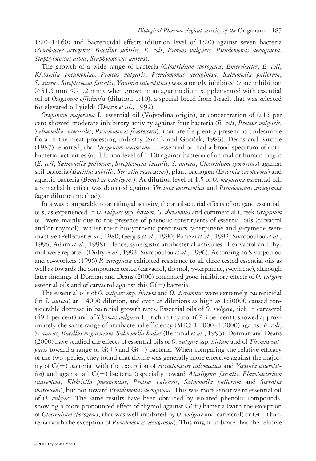1:20–1:160) and bactericidal effects (dilution level of 1:20) against seven bacteria (*Aerobacter aerogenes*, *Bacillus subtilis*, *E. coli*, *Proteus vulgaris*, *Pseudomonas aeruginosa*, *Staphylococcus albus*, *Staphylococcus aureus*).

The growth of a wide range of bacteria (*Clostridium sporogenes*, *Enterobacter*, *E. coli*, *Klebsiella pneumoniae*, *Proteus vulgaris*, *Pseudomonas aeruginosa*, *Salmonella pullorum*, *S. aureus*, *Streptococcus faecalis*, *Yersinia enterolitica*) was strongly inhibited (zone inhibition  $>$ 31.5 mm  $\leq$ 71.2 mm), when grown in an agar medium supplemented with essential oil of *Origanum officinalis* (dilution 1:10), a special breed from Israel, that was selected for elevated oil yields (Deans *et al*., 1992).

*Origanum majorana* L. essential oil (Vojvodina origin), at concentration of 0.15 per cent showed moderate inhibitory activity against four bacteria (*E. coli*, *Proteus vulgaris*, *Salmonella enteritidis*, *Pseudomonas fluorescens*), that are frequently present as undesirable flora in the meat-processing industry (Sirnik and Gorišek, 1983). Deans and Ritchie (1987) reported, that *Origanum majorana* L. essential oil had a broad spectrum of antibacterial activities (at dilution level of 1:10) against bacteria of animal or human origin (*E. coli*, *Salmonella pullorum*, *Streptococcus faecalis*, *S. aureus*, *Clostridium sporogenes*) against soil bacteria (*Bacillus subtilis*, *Serratia marcescens*), plant pathogen (*Erwinia carotovora*) and aquatic bacteria (*Beneckea natriegens*). At dilution level of 1:5 of *O. majorana* essential oil, a remarkable effect was detected against *Yersinia enterocolica* and *Pseudomonas aeruginosa* (agar dilution method).

In a way comparable to antifungal activity, the antibacterial effects of oregano essential oils, as experienced in *O. vulgare* ssp. *hirtum*, *O. dictamnus* and commercial Greek *Origanum* oil, were mainly due to the presence of phenolic constituents of essential oils (carvacrol and/or thymol), whilst their biosynthetic precursors  $\gamma$ -terpinene and  $p$ -cymene were inactive (Pellecuer *et al*., 1980; Gergis *et al*., 1990; Panizzi *et al*., 1993; Sivropoulou *et al*., 1996; Adam *et al*., 1998). Hence, synergistic antibacterial activities of carvacrol and thymol were reported (Didry *et al*., 1993; Sivropoulou *et al*., 1996). According to Sivropoulou and co-workers (1996) *P. aeruginosa* exhibited resistance to all three tested essential oils as well as towards the compounds tested (carvacrol, thymol,  $\gamma$ -terpinene, p-cymene), although later findings of Dorman and Deans (2000) confirmed good inhibitory effects of *O. vulgare* essential oils and of carvacrol against this  $G(-)$  bacteria.

The essential oils of *O. vulgare* ssp. *hirtum* and *O. dictamnus* were extremely bactericidal (in *S. aureus*) at 1:4000 dilution, and even at dilutions as high as 1:50000 caused considerable decrease in bacterial growth rates. Essential oils of *O. vulgare*, rich in carvacrol (49.1 per cent) and of *Thymus vulgaris* L., rich in thymol (67.3 per cent), showed approximately the same range of antibacterial efficiency (MIC: 1:2000–1:3000) against *E. coli*, *S. aureus*, *Bacillus megaterium*, *Salmonella hadar* (Remmal *et al*., 1993). Dorman and Deans (2000) have studied the effects of essential oils of *O. vulgare* ssp. *hirtum* and of *Thymus vulgaris* toward a range of  $G(+)$  and  $G(-)$  bacteria. When comparing the relative efficacy of the two species, they found that thyme was generally more effective against the majority of G() bacteria (with the exception of *Acinetobacter calcoacetica* and *Yersinia enterolitica*) and against all G( ) bacteria (especially toward *Alcaligenes faecalis*, *Flavobacterium suaveolens*, *Klebsiella pneumoniae*, *Proteus vulgaris*, *Salmonella pullorum* and *Serratia marcescens*), but not toward *Pseudomonas aeruginosa*. This was more sensitive to essential oil of *O. vulgare*. The same results have been obtained by isolated phenolic compounds, showing a more pronounced effect of thymol against  $G(+)$  bacteria (with the exception of *Clostridium sporogenes*, that was well inhibited by *O. vulgare* and carvacrol) or  $G(-)$  bacteria (with the exception of *Pseudomonas aeruginosa*). This might indicate that the relative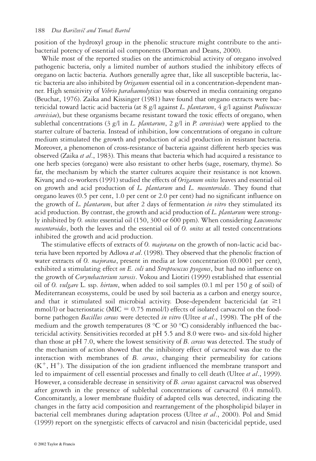position of the hydroxyl group in the phenolic structure might contribute to the antibacterial potency of essential oil components (Dorman and Deans, 2000).

While most of the reported studies on the antimicrobial activity of oregano involved pathogenic bacteria, only a limited number of authors studied the inhibitory effects of oregano on lactic bacteria. Authors generally agree that, like all susceptible bacteria, lactic bacteria are also inhibited by *Origanum* essential oil in a concentration-dependent manner. High sensitivity of *Vibrio parahaemolyticus* was observed in media containing oregano (Beuchat, 1976). Zaika and Kissinger (1981) have found that oregano extracts were bactericidal toward lactic acid bacteria (at 8 g/l against *L. plantarum*, 4 g/l against *Pediococcus cerevisiae*), but these organisms became resistant toward the toxic effects of oregano, when sublethal concentrations (3 g/l in *L. plantarum*, 2 g/l in *P. cerevisiae*) were applied to the starter culture of bacteria. Instead of inhibition, low concentrations of oregano in culture medium stimulated the growth and production of acid production in resistant bacteria. Moreover, a phenomenon of cross-resistance of bacteria against different herb species was observed (Zaika *et al*., 1983). This means that bacteria which had acquired a resistance to one herb species (oregano) were also resistant to other herbs (sage, rosemary, thyme). So far, the mechanism by which the starter cultures acquire their resistance is not known. Kivanç and co-workers (1991) studied the effects of *Origanum onites* leaves and essential oil on growth and acid production of *L. plantarum* and *L. mesenteroides*. They found that oregano leaves (0.5 per cent, 1.0 per cent or 2.0 per cent) had no significant influence on the growth of *L. plantarum*, but after 2 days of fermentation *in vitro* they stimulated its acid production. By contrast, the growth and acid production of *L. plantarum* were strongly inhibited by *O. onites* essential oil (150, 300 or 600 ppm). When considering *Leuconostoc mesenteroides*, both the leaves and the essential oil of *O. onites* at all tested concentrations inhibited the growth and acid production.

The stimulative effects of extracts of *O. majorana* on the growth of non-lactic acid bacteria have been reported by Adlova *et al*. (1998). They observed that the phenolic fraction of water extracts of *O. majorana*, present in media at low concentration (0.0001 per cent), exhibited a stimulating effect *on E. coli* and *Streptococcus pyogenes*, but had no influence on the growth of *Corynebacterium xerosis*. Vokou and Liotiri (1999) established that essential oil of *O. vulgare* L. ssp. *hirtum*, when added to soil samples (0.1 ml per 150 g of soil) of Mediterranean ecosystems, could be used by soil bacteria as a carbon and energy source, and that it stimulated soil microbial activity. Dose-dependent bactericidal (at  $\geq 1$ mmol/l) or bacteriostatic (MIC  $= 0.75$  mmol/l) effects of isolated carvacrol on the foodborne pathogen *Bacillus cereus* were detected *in vitro* (Ultee *et al*., 1998). The pH of the medium and the growth temperatures (8  $^{\circ}$ C or 30  $^{\circ}$ C) considerably influenced the bactericidal activity. Sensitivities recorded at pH 5.5 and 8.0 were two- and six-fold higher than those at pH 7.0, where the lowest sensitivity of *B. cereus* was detected. The study of the mechanism of action showed that the inhibitory effect of carvacrol was due to the interaction with membranes of *B. cereus*, changing their permeability for cations  $(K<sup>+</sup>, H<sup>+</sup>)$ . The dissipation of the ion gradient influenced the membrane transport and led to impairment of cell essential processes and finally to cell death (Ultee *et al*., 1999). However, a considerable decrease in sensitivity of *B. cereus* against carvacrol was observed after growth in the presence of sublethal concentrations of carvacrol (0.4 mmol/l). Concomitantly, a lower membrane fluidity of adapted cells was detected, indicating the changes in the fatty acid composition and rearrangement of the phospholipid bilayer in bacterial cell membranes during adaptation process (Ultee *et al*., 2000). Pol and Smid (1999) report on the synergistic effects of carvacrol and nisin (bactericidal peptide, used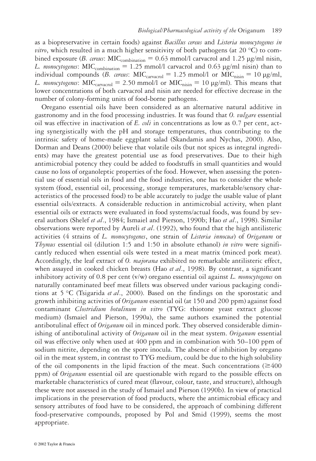as a biopreservative in certain foods) against *Bacillus cereus* and *Listeria monocytogenes in vitro*, which resulted in a much higher sensitivity of both pathogens (at 20 °C) to combined exposure (*B. cereus*: MIC<sub>combination</sub> = 0.63 mmol/l carvacrol and 1.25 µg/ml nisin, *L. monocytogenes*:  $\text{MIC}_{\text{combination}} = 1.25$  mmol/l carvacrol and 0.63 µg/ml nisin) than to individual compounds (*B. cereus*: MIC<sub>carvacrol</sub> = 1.25 mmol/l or MIC<sub>nisin</sub> = 10  $\mu$ g/ml, *L. monocytogenes*:  $\text{MIC}_{\text{carvacrol}} = 2.50 \text{ mmol/l or } \text{MIC}_{\text{nisin}} = 10 \text{ µg/ml}$ . This means that lower concentrations of both carvacrol and nisin are needed for effective decrease in the number of colony-forming units of food-borne pathogens.

Oregano essential oils have been considered as an alternative natural additive in gastronomy and in the food processing industries. It was found that *O. vulgare* essential oil was effective in inactivation of *E. coli* in concentrations as low as 0.7 per cent, acting synergistically with the pH and storage temperatures, thus contributing to the intrinsic safety of home-made eggplant salad (Skandamis and Nychas, 2000). Also, Dorman and Deans (2000) believe that volatile oils (but not spices as integral ingredients) may have the greatest potential use as food preservatives. Due to their high antimicrobial potency they could be added to foodstuffs in small quantities and would cause no loss of organoleptic properties of the food. However, when assessing the potential use of essential oils in food and the food industries, one has to consider the whole system (food, essential oil, processing, storage temperatures, marketable/sensory characteristics of the processed food) to be able accurately to judge the usable value of plant essential oils/extracts. A considerable reduction in antimicrobial activity, when plant essential oils or extracts were evaluated in food systems/actual foods, was found by several authors (Shelef *et al*., 1984; Ismaiel and Pierson, 1990b; Hao *et al*., 1998). Similar observations were reported by Aureli *et al*. (1992), who found that the high antilisteric activities (4 strains of *L. monocytogenes*, one strain of *Listeria innocua*) of *Origanum* or *Thymus* essential oil (dilution 1:5 and 1:50 in absolute ethanol) *in vitro* were significantly reduced when essential oils were tested in a meat matrix (minced pork meat). Accordingly, the leaf extract of *O. majorana* exhibited no remarkable antilisteric effect, when assayed in cooked chicken breasts (Hao *et al*., 1998). By contrast, a significant inhibitory activity of 0.8 per cent (v/w) oregano essential oil against *L. monocytogenes* on naturally contaminated beef meat fillets was observed under various packaging conditions at 5 °C (Tsigarida *et al*., 2000). Based on the findings on the sporostatic and growth inhibiting activities of *Origanum* essential oil (at 150 and 200 ppm) against food contaminant *Clostridium botulinum in vitro* (TYG: thiotone yeast extract glucose medium) (Ismaiel and Pierson, 1990a), the same authors examined the potential antibotulinal effect of *Origanum* oil in minced pork. They observed considerable diminishing of antibotulinal activity of *Origanum* oil in the meat system. *Origanum* essential oil was effective only when used at 400 ppm and in combination with 50–100 ppm of sodium nitrite, depending on the spore inocula. The absence of inhibition by oregano oil in the meat system, in contrast to TYG medium, could be due to the high solubility of the oil components in the lipid fraction of the meat. Such concentrations  $(\geq 400$ ppm) of *Origanum* essential oil are questionable with regard to the possible effects on marketable characteristics of cured meat (flavour, colour, taste, and structure), although these were not assessed in the study of Ismaiel and Pierson (1990b). In view of practical implications in the preservation of food products, where the antimicrobial efficacy and sensory attributes of food have to be considered, the approach of combining different food-preservative compounds, proposed by Pol and Smid (1999), seems the most appropriate.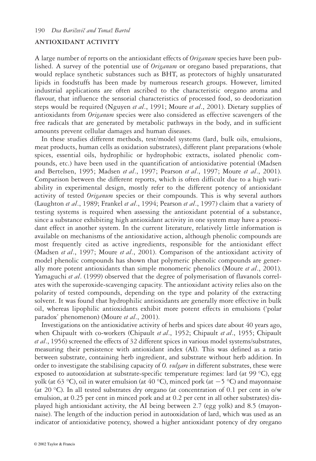#### **ANTIOXIDANT ACTIVITY**

A large number of reports on the antioxidant effects of *Origanum* species have been published. A survey of the potential use of *Origanum* or oregano based preparations, that would replace synthetic substances such as BHT, as protectors of highly unsaturated lipids in foodstuffs has been made by numerous research groups. However, limited industrial applications are often ascribed to the characteristic oregano aroma and flavour, that influence the sensorial characteristics of processed food, so deodorization steps would be required (Nguyen *et al*., 1991; Moure *et al*., 2001). Dietary supplies of antioxidants from *Origanum* species were also considered as effective scavengers of the free radicals that are generated by metabolic pathways in the body, and in sufficient amounts prevent cellular damages and human diseases.

In these studies different methods, test/model systems (lard, bulk oils, emulsions, meat products, human cells as oxidation substrates), different plant preparations (whole spices, essential oils, hydrophilic or hydrophobic extracts, isolated phenolic compounds, etc.) have been used in the quantification of antioxidative potential (Madsen and Bertelsen, 1995; Madsen *et al*., 1997; Pearson *et al*., 1997; Moure *et al*., 2001). Comparison between the different reports, which is often difficult due to a high variability in experimental design, mostly refer to the different potency of antioxidant activity of tested *Origanum* species or their compounds. This is why several authors (Laughton *et al*., 1989; Frankel *et al*., 1994; Pearson *et al*., 1997) claim that a variety of testing systems is required when assessing the antioxidant potential of a substance, since a substance exhibiting high antioxidant activity in one system may have a prooxidant effect in another system. In the current literature, relatively little information is available on mechanisms of the antioxidative action, although phenolic compounds are most frequently cited as active ingredients, responsible for the antioxidant effect (Madsen *et al*., 1997; Moure *et al*., 2001). Comparison of the antioxidant activity of model phenolic compounds has shown that polymeric phenolic compounds are generally more potent antioxidants than simple monomeric phenolics (Moure *et al*., 2001). Yamaguchi *et al*. (1999) observed that the degree of polymerisation of flavanols correlates with the superoxide-scavenging capacity. The antioxidant activity relies also on the polarity of tested compounds, depending on the type and polarity of the extracting solvent. It was found that hydrophilic antioxidants are generally more effective in bulk oil, whereas lipophilic antioxidants exhibit more potent effects in emulsions ('polar paradox' phenomenon) (Moure *et al*., 2001).

Investigations on the antioxidative activity of herbs and spices date about 40 years ago, when Chipault with co-workers (Chipault *et al*., 1952; Chipault *et al*., 1955; Chipault *et al*., 1956) screened the effects of 32 different spices in various model systems/substrates, measuring their persistence with antioxidant index (AI). This was defined as a ratio between substrate, containing herb ingredient, and substrate without herb addition. In order to investigate the stabilising capacity of *O. vulgare* in different substrates, these were exposed to autooxidation at substrate-specific temperature regimes: lard (at 99 °C), egg yolk (at 63 °C), oil in water emulsion (at 40 °C), minced pork (at  $-5$  °C) and mayonnaise (at 20 °C). In all tested substrates dry oregano (at concentration of 0.1 per cent in  $o/w$ emulsion, at 0.25 per cent in minced pork and at 0.2 per cent in all other substrates) displayed high antioxidant activity, the AI being between 2.7 (egg yolk) and 8.5 (mayonnaise). The length of the induction period in autooxidation of lard, which was used as an indicator of antioxidative potency, showed a higher antioxidant potency of dry oregano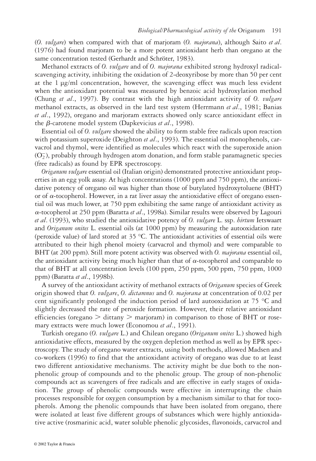(*O. vulgare*) when compared with that of marjoram (*O. majorana*), although Saito *et al*. (1976) had found marjoram to be a more potent antioxidant herb than oregano at the same concentration tested (Gerhardt and Schröter, 1983).

Methanol extracts of *O. vulgare* and of *O. majorana* exhibited strong hydroxyl radicalscavenging activity, inhibiting the oxidation of 2-deoxyribose by more than 50 per cent at the 1 µg/ml concentration, however, the scavenging effect was much less evident when the antioxidant potential was measured by benzoic acid hydroxylation method (Chung *et al*., 1997). By contrast with the high antioxidant activity of *O. vulgare* methanol extracts, as observed in the lard test system (Herrmann *et al*., 1981; Banias *et al*., 1992), oregano and marjoram extracts showed only scarce antioxidant effect in the *β*-carotene model system (Dapkevicius *et al.*, 1998).

Essential oil of *O. vulgare* showed the ability to form stable free radicals upon reaction with potassium superoxide (Deighton *et al.*, 1993). The essential oil monophenols, carvacrol and thymol, were identified as molecules which react with the superoxide anion  $(O_2^-)$ , probably through hydrogen atom donation, and form stable paramagnetic species (free radicals) as found by EPR spectroscopy.

*Origanum vulgare* essential oil (Italian origin) demonstrated protective antioxidant properties in an egg yolk assay. At high concentrations (1000 ppm and 750 ppm), the antioxidative potency of oregano oil was higher than those of butylated hydroxytoluene (BHT) or of  $\alpha$ -tocopherol. However, in a rat liver assay the antioxidative effect of oregano essential oil was much lower, at 750 ppm exhibiting the same range of antioxidant activity as -tocopherol at 250 ppm (Baratta *et al*., 1998a). Similar results were observed by Lagouri *et al*. (1993), who studied the antioxidative potency of *O. vulgare* L. ssp. *hirtum* Ietswaart and *Origanum onites* L. essential oils (at 1000 ppm) by measuring the autooxidation rate (peroxide value) of lard stored at 35 °C. The antioxidant activities of essential oils were attributed to their high phenol moiety (carvacrol and thymol) and were comparable to BHT (at 200 ppm). Still more potent activity was observed with *O. majorana* essential oil, the antioxidant activity being much higher than that of  $\alpha$ -tocopherol and comparable to that of BHT at all concentration levels (100 ppm, 250 ppm, 500 ppm, 750 ppm, 1000 ppm) (Baratta *et al*., 1998b).

A survey of the antioxidant activity of methanol extracts of *Origanum* species of Greek origin showed that *O. vulgare*, *O. dictamnus* and *O. majorana* at concentration of 0.02 per cent significantly prolonged the induction period of lard autooxidation at 75 °C and slightly decreased the rate of peroxide formation. However, their relative antioxidant efficiencies (oregano  $\geq$  dittany  $\geq$  marjoram) in comparison to those of BHT or rosemary extracts were much lower (Economou *et al*., 1991).

Turkish oregano (*O. vulgare* L.) and Chilean oregano (*Origanum onites* L.) showed high antioxidative effects, measured by the oxygen depletion method as well as by EPR spectroscopy. The study of oregano water extracts, using both methods, allowed Madsen and co-workers (1996) to find that the antioxidant activity of oregano was due to at least two different antioxidative mechanisms. The activity might be due both to the nonphenolic group of compounds and to the phenolic group. The group of non-phenolic compounds act as scavengers of free radicals and are effective in early stages of oxidation. The group of phenolic compounds were effective in interrupting the chain processes responsible for oxygen consumption by a mechanism similar to that for tocopherols. Among the phenolic compounds that have been isolated from oregano, there were isolated at least five different groups of substances which were highly antioxidative active (rosmarinic acid, water soluble phenolic glycosides, flavonoids, carvacrol and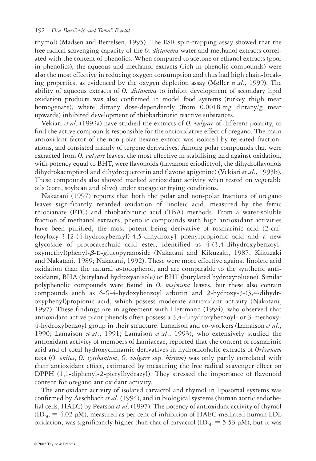thymol) (Madsen and Bertelsen, 1995). The ESR spin-trapping assay showed that the free radical scavenging capacity of the *O. dictamnus* water and methanol extracts correlated with the content of phenolics. When compared to acetone or ethanol extracts (poor in phenolics), the aqueous and methanol extracts (rich in phenolic compounds) were also the most effective in reducing oxygen consumption and thus had high chain-breaking properties, as evidenced by the oxygen depletion assay (Møller *et al*., 1999). The ability of aqueous extracts of *O. dictamnus* to inhibit development of secondary lipid oxidation products was also confirmed in model food systems (turkey thigh meat homogenate), where dittany dose-dependently (from 0.0018 mg dittany/g meat upwards) inhibited development of thiobarbituric reactive substances.

Vekiari *et al*. (1993a) have studied the extracts of *O. vulgare* of different polarity, to find the active compounds responsible for the antioxidative effect of oregano. The main antioxidant factor of the non-polar hexane extract was isolated by repeated fractionations, and consisted mainly of terpene derivatives. Among polar compounds that were extracted from *O. vulgare* leaves, the most effective in stabilising lard against oxidation, with potency equal to BHT, were flavonoids (flavanone eriodictyol, the dihydroflavonols dihydrokaempferol and dihydroquercetin and flavone apigenine) (Vekiari *et al*., 1993b). These compounds also showed marked antioxidant activity when tested on vegetable oils (corn, soybean and olive) under storage or frying conditions.

Nakatani (1997) reports that both the polar and non-polar fractions of oregano leaves significantly retarded oxidation of linoleic acid, measured by the ferric thiocianate (FTC) and thiobarbituric acid (TBA) methods. From a water-soluble fraction of methanol extracts, phenolic compounds with high antioxidant activities have been purified, the most potent being derivative of rosmarinic acid (2-caffeoyloxy-3-[2-(4-hydroxybenzyl)-4,5-dihydroxy] phenylpropionic acid and a new glycoside of protocatechuic acid ester, identified as 4-(3,4-dihydroxybenzoyloxymethyl)phenyl-β-D-glucopyranoside (Nakatani and Kikuzaki, 1987; Kikuzaki and Nakatani, 1989; Nakatani, 1992). These were more effective against linoleic acid oxidation than the natural  $\alpha$ -tocopherol, and are comparable to the synthetic antioxidants, BHA (butylated hydroxyanisole) or BHT (butylated hydroxytoluene). Similar polyphenolic compounds were found in *O. majorana* leaves, but these also contain compounds such as 6-*O*-4-hydoxybenzoyl arbutin and 2-hydroxy-3-(3,4-dihydroxyphenyl)propionic acid, which possess moderate antioxidant activity (Nakatani, 1997). These findings are in agreement with Herrmann (1994), who observed that antioxidant active plant phenols often possess a 3,4-dihydroxybenzoyl- or 3-methoxy-4-hydroxybenzoyl group in their structure. Lamaison and co-workers (Lamaison *et al*., 1990; Lamaison *et al*., 1991; Lamaison *et al*., 1993), who extensively studied the antioxidant activity of members of Lamiaceae, reported that the content of rosmarinic acid and of total hydroxycinnamic derivatives in hydroalcoholic extracts of *Origanum* taxa (*O. onites*, *O. tytthantum*, *O. vulgare* ssp. *hirtum*) was only partly correlated with their antioxidant effect, estimated by measuring the free radical scavenger effect on DPPH (1,1-diphenyl-2-picrylhydrazyl). They stressed the importance of flavonoid content for oregano antioxidant activity.

The antioxidant activity of isolated carvacrol and thymol in liposomal systems was confirmed by Aeschbach *et al*. (1994), and in biological systems (human aortic endothelial cells, HAEC) by Pearson *et al*. (1997). The potency of antioxidant activity of thymol  $(ID_{50} = 4.02 \mu M)$ , measured as per cent of inhibition of HAEC-mediated human LDL oxidation, was significantly higher than that of carvacrol (ID<sub>50</sub> = 5.53 µM), but it was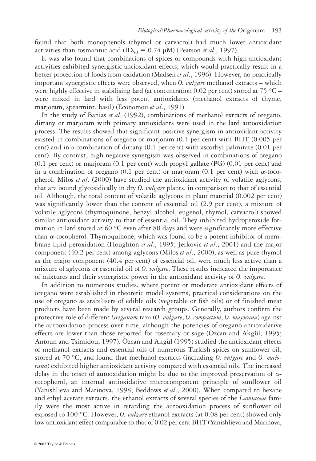found that both monophenols (thymol or carvacrol) had much lower antioxidant activities than rosmarinic acid (ID<sub>50</sub> = 0.74 µM) (Pearson *et al.*, 1997).

It was also found that combinations of spices or compounds with high antioxidant activities exhibited synergistic antioxidant effects, which would practically result in a better protection of foods from oxidation (Madsen *et al*., 1996). However, no practically important synergistic effects were observed, when *O. vulgare* methanol extracts – which were highly effective in stabilising lard (at concentration 0.02 per cent) stored at 75  $^{\circ}$ C – were mixed in lard with less potent antioxidants (methanol extracts of thyme, marjoram, spearmint, basil) (Economou *et al*., 1991).

In the study of Banias *et al*. (1992), combinations of methanol extracts of oregano, dittany or marjoram with primary antioxidants were used in the lard autooxidation process. The results showed that significant positive synergism in antioxidant activity existed in combinations of oregano or marjoram (0.1 per cent) with BHT (0.005 per cent) and in a combination of dittany (0.1 per cent) with ascorbyl palmitate (0.01 per cent). By contrast, high negative synergism was observed in combinations of oregano  $(0.1 \text{ per cent})$  or marjoram  $(0.1 \text{ per cent})$  with propyl gallate  $(PG)$   $(0.01 \text{ per cent})$  and in a combination of oregano (0.1 per cent) or marjoram (0.1 per cent) with  $\alpha$ -tocopherol. Milos *et al*. (2000) have studied the antioxidant activity of volatile aglycons, that are bound glycosidically in dry *O. vulgare* plants, in comparison to that of essential oil. Although, the total content of volatile aglycons in plant material (0.002 per cent) was significantly lower than the content of essential oil (2.9 per cent), a mixture of volatile aglycons (thymoquinone, benzyl alcohol, eugenol, thymol, carvacrol) showed similar antioxidant activity to that of essential oil. They inhibited hydroperoxide formation in lard stored at 60 °C even after 80 days and were significantly more effective than  $\alpha$ -tocopherol. Thymoquinone, which was found to be a potent inhibitor of membrane lipid peroxidation (Houghton *et al*., 1995; Jerkovic *et al*., 2001) and the major component (40.2 per cent) among aglycons (Milos *et al*., 2000), as well as pure thymol as the major component (40.4 per cent) of essential oil, were much less active than a mixture of aglycons or essential oil of *O. vulgare*. These results indicated the importance of mixtures and their synergistic power in the antioxidant activity of *O. vulgare*.

In addition to numerous studies, where potent or moderate antioxidant effects of oregano were established in theoretic model systems, practical considerations on the use of oregano as stabilisers of edible oils (vegetable or fish oils) or of finished meat products have been made by several research groups. Generally, authors confirm the protective role of different *Origanum* taxa (*O. vulgare*, *O. compactum*, *O. majorana*) against the autooxidation process over time, although the potencies of oregano antioxidative effects are lower than those reported for rosemary or sage (Özcan and Akgül, 1995; Antoun and Tsimidou, 1997). Özcan and Akgül (1995) studied the antioxidant effects of methanol extracts and essential oils of numerous Turkish spices on sunflower oil, stored at 70 °C, and found that methanol extracts (including *O. vulgare* and *O. majorana*) exhibited higher antioxidant activity compared with essential oils. The increased delay in the onset of autooxidation might be due to the improved preservation of  $\alpha$ tocopherol, an internal antioxidative microcomponent principle of sunflower oil (Yanishlieva and Marinova, 1998; Beddows *et al*., 2000). When compared to hexane and ethyl acetate extracts, the ethanol extracts of several species of the *Lamiaceae* family were the most active in retarding the autooxidation process of sunflower oil exposed to 100 °C. However, *O. vulgare* ethanol extracts (at 0.08 per cent) showed only low antioxidant effect comparable to that of 0.02 per cent BHT (Yanishlieva and Marinova,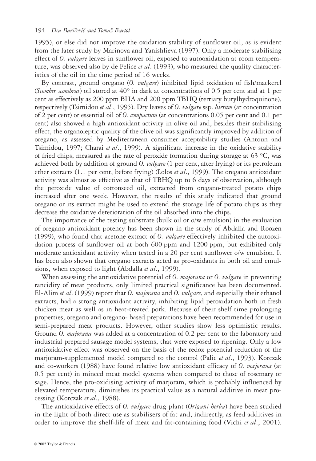1995), or else did not improve the oxidation stability of sunflower oil, as is evident from the later study by Marinova and Yanishlieva (1997). Only a moderate stabilising effect of *O. vulgare* leaves in sunflower oil, exposed to autooxidation at room temperature, was observed also by de Felice *et al*. (1993), who measured the quality characteristics of the oil in the time period of 16 weeks.

By contrast, ground oregano (*O. vulgare*) inhibited lipid oxidation of fish/mackerel (*Scomber scombrus*) oil stored at 40° in dark at concentrations of 0.5 per cent and at 1 per cent as effectively as 200 ppm BHA and 200 ppm TBHQ (tertiary butylhydroquinone), respectively (Tsimidou *et al*., 1995). Dry leaves of *O. vulgare* ssp. *hirtum* (at concentration of 2 per cent) or essential oil of *O. compactum* (at concentrations 0.05 per cent and 0.1 per cent) also showed a high antioxidant activity in olive oil and, besides their stabilising effect, the organoleptic quality of the olive oil was significantly improved by addition of oregano, as assessed by Mediterranean consumer acceptability studies (Antoun and Tsimidou, 1997; Charai *et al*., 1999). A significant increase in the oxidative stability of fried chips, measured as the rate of peroxide formation during storage at 63  $^{\circ}$ C, was achieved both by addition of ground *O. vulgare* (1 per cent, after frying) or its petroleum ether extracts (1.1 per cent, before frying) (Lolos *et al*., 1999). The oregano antioxidant activity was almost as effective as that of TBHQ up to 6 days of observation, although the peroxide value of cottonseed oil, extracted from oregano-treated potato chips increased after one week. However, the results of this study indicated that ground oregano or its extract might be used to extend the storage life of potato chips as they decrease the oxidative deterioration of the oil absorbed into the chips.

The importance of the testing substrate (bulk oil or o/w emulsion) in the evaluation of oregano antioxidant potency has been shown in the study of Abdalla and Roozen (1999), who found that acetone extract of *O. vulgare* effectively inhibited the autooxidation process of sunflower oil at both 600 ppm and 1200 ppm, but exhibited only moderate antioxidant activity when tested in a 20 per cent sunflower o/w emulsion. It has been also shown that oregano extracts acted as pro-oxidants in both oil and emulsions, when exposed to light (Abdalla *et al*., 1999).

When assessing the antioxidative potential of *O. majorana* or *O. vulgare* in preventing rancidity of meat products, only limited practical significance has been documented. El-Alim *et al*. (1999) report that *O. majorana* and *O. vulgare*, and especially their ethanol extracts, had a strong antioxidant activity, inhibiting lipid peroxidation both in fresh chicken meat as well as in heat-treated pork. Because of their shelf time prolonging properties, oregano and oregano- based preparations have been recommended for use in semi-prepared meat products. However, other studies show less optimistic results. Ground *O. majorana* was added at a concentration of 0.2 per cent to the laboratory and industrial prepared sausage model systems, that were exposed to ripening. Only a low antioxidative effect was observed on the basis of the redox potential reduction of the marjoram-supplemented model compared to the control (Palic *et al*., 1993). Korczak and co-workers (1988) have found relative low antioxidant efficacy of *O. majorana* (at 0.5 per cent) in minced meat model systems when compared to those of rosemary or sage. Hence, the pro-oxidising activity of marjoram, which is probably influenced by elevated temperature, diminishes its practical value as a natural additive in meat processing (Korczak *et al*., 1988).

The antioxidative effects of *O. vulgare* drug plant (*Origani herba*) have been studied in the light of both direct use as stabilisers of fat and, indirectly, as feed additives in order to improve the shelf-life of meat and fat-containing food (Vichi *et al*., 2001).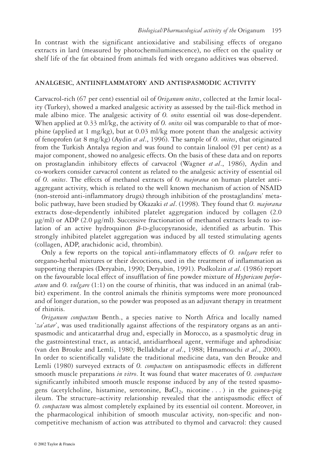In contrast with the significant antioxidative and stabilising effects of oregano extracts in lard (measured by photochemiluminescence), no effect on the quality or shelf life of the fat obtained from animals fed with oregano additives was observed.

## **ANALGESIC, ANTIINFLAMMATORY AND ANTISPASMODIC ACTIVITY**

Carvacrol-rich (67 per cent) essential oil of *Origanum onites*, collected at the Izmir locality (Turkey), showed a marked analgesic activity as assessed by the tail-flick method in male albino mice. The analgesic activity of *O. onites* essential oil was dose-dependent. When applied at 0.33 ml/kg, the activity of *O. onites* oil was comparable to that of morphine (applied at 1 mg/kg), but at  $0.03$  ml/kg more potent than the analgesic activity of fenoprofen (at 8 mg/kg) (Aydin *et al*., 1996). The sample of *O. onites*, that originated from the Turkish Antalya region and was found to contain linalool (91 per cent) as a major component, showed no analgesic effects. On the basis of these data and on reports on prostaglandin inhibitory effects of carvacrol (Wagner *et al*., 1986), Aydin and co-workers consider carvacrol content as related to the analgesic activity of essential oil of *O. onites*. The effects of methanol extracts of *O. majorana* on human platelet antiaggregant activity, which is related to the well known mechanism of action of NSAID (non-steroid anti-inflammatory drugs) through inhibition of the prostaglandins' metabolic pathway, have been studied by Okazaki *et al*. (1998). They found that *O. majorana* extracts dose-dependently inhibited platelet aggregation induced by collagen (2.0  $\mu$ g/ml) or ADP (2.0  $\mu$ g/ml). Successive fractionation of methanol extracts leads to isolation of an active hydroquinon  $\beta$ -D-glucopyranoside, identified as arbutin. This strongly inhibited platelet aggregation was induced by all tested stimulating agents (collagen, ADP, arachidonic acid, thrombin).

Only a few reports on the topical anti-inflammatory effects of *O. vulgare* refer to oregano-herbal mixtures or their decoctions, used in the treatment of inflammation as supporting therapies (Deryabin, 1990; Deryabin, 1991). Podkolzin *et al*. (1986) report on the favourable local effect of insufflation of fine powder mixture of *Hypericum perforatum* and *O. vulgare* (1:1) on the course of rhinitis, that was induced in an animal (rabbit) experiment. In the control animals the rhinitis symptoms were more pronounced and of longer duration, so the powder was proposed as an adjuvant therapy in treatment of rhinitis.

*Origanum compactum* Benth., a species native to North Africa and locally named '*za*'*atar*', was used traditionally against affections of the respiratory organs as an antispasmodic and anticatarrhal drug and, especially in Morocco, as a spasmolytic drug in the gastrointestinal tract, as antacid, antidiarrhoeal agent, vermifuge and aphrodisiac (van den Brouke and Lemli, 1980; Bellakhdar *et al*., 1988; Hmamouchi *et al*., 2000). In order to scientifically validate the traditional medicine data, van den Brouke and Lemli (1980) surveyed extracts of *O. compactum* on antispasmodic effects in different smooth muscle preparations *in vitro*. It was found that water macerates of *O. compactum* significantly inhibited smooth muscle response induced by any of the tested spasmogens (acetylcholine, histamine, serotonine,  $BaCl<sub>2</sub>$ , nicotine ...) in the guinea-pig ileum. The structure–activity relationship revealed that the antispasmodic effect of *O. compactum* was almost completely explained by its essential oil content. Moreover, in the pharmacological inhibition of smooth muscular activity, non-specific and noncompetitive mechanism of action was attributed to thymol and carvacrol: they caused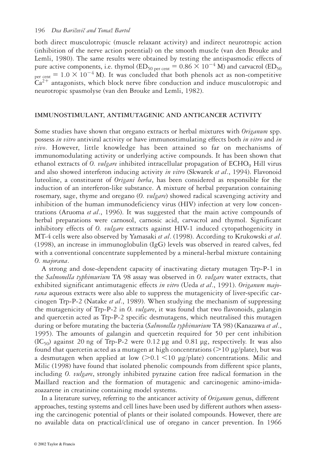both direct musculotropic (muscle relaxant activity) and indirect neurotropic action (inhibition of the nerve action potential) on the smooth muscle (van den Brouke and Lemli, 1980). The same results were obtained by testing the antispasmodic effects of pure active components, i.e. thymol (ED<sub>50 per cent</sub> =  $0.86 \times 10^{-4}$  M) and carvacrol (ED<sub>50</sub>) per cent =  $1.0 \times 10^{-4}$  M). It was concluded that both phenols act as non-competitive  $Ca^{2+}$  antagonists, which block nerve fibre conduction and induce musculotropic and neurotropic spasmolyse (van den Brouke and Lemli, 1982).

## **IMMUNOSTIMULANT, ANTIMUTAGENIC AND ANTICANCER ACTIVITY**

Some studies have shown that oregano extracts or herbal mixtures with *Origanum* spp. possess *in vitro* antiviral activity or have immunostimulating effects both *in vitro* and *in vivo*. However, little knowledge has been attained so far on mechanisms of immunomodulating activity or underlying active compounds. It has been shown that ethanol extracts of *O. vulgare* inhibited intracellular propagation of ECHO<sub>9</sub> Hill virus and also showed interferon inducing activity *in vitro* (Skwarek *et al*., 1994). Flavonoid luteoline, a constituent of *Origani herba*, has been considered as responsible for the induction of an interferon-like substance. A mixture of herbal preparation containing rosemary, sage, thyme and oregano (*O. vulgare*) showed radical scavenging activity and inhibition of the human immunodeficiency virus (HIV) infection at very low concentrations (Aruoma *et al*., 1996). It was suggested that the main active compounds of herbal preparations were carnosol, carnosic acid, carvacrol and thymol. Significant inhibitory effects of *O. vulgare* extracts against HIV-1 induced cytopathogenicity in MT-4 cells were also observed by Yamasaki *et al*. (1998). According to Krukowski *et al*. (1998), an increase in immunoglobulin (IgG) levels was observed in reared calves, fed with a conventional concentrate supplemented by a mineral-herbal mixture containing *O. majorana*.

A strong and dose-dependent capacity of inactivating dietary mutagen Trp-P-1 in the *Salmonella typhimurium* TA 98 assay was observed in *O. vulgare* water extracts, that exhibited significant antimutagenic effects *in vitro* (Ueda *et al*., 1991). *Origanum majorana* aqueous extracts were also able to suppress the mutagenicity of liver-specific carcinogen Trp-P-2 (Natake *et al*., 1989). When studying the mechanism of suppressing the mutagenicity of Trp-P-2 in *O. vulgare*, it was found that two flavonoids, galangin and quercetin acted as Trp-P-2 specific desmutagens, which neutralised this mutagen during or before mutating the bacteria (*Salmonella typhimurium* TA 98) (Kanazawa *et al*., 1995). The amounts of galangin and quercetin required for 50 per cent inhibition  $(IC<sub>50</sub>)$  against 20 ng of Trp-P-2 were 0.12 µg and 0.81 µg, respectively. It was also found that quercetin acted as a mutagen at high concentrations  $(>=10 \text{ µg/plate})$ , but was a desmutagen when applied at low  $(0.1 \le 10 \text{ µg/plate})$  concentrations. Milic and Milic (1998) have found that isolated phenolic compounds from different spice plants, including *O. vulgare*, strongly inhibited pyrazine cation free radical formation in the Maillard reaction and the formation of mutagenic and carcinogenic amino-imidazoazarene in creatinine containing model systems.

In a literature survey, referring to the anticancer activity of *Origanum* genus, different approaches, testing systems and cell lines have been used by different authors when assessing the carcinogenic potential of plants or their isolated compounds. However, there are no available data on practical/clinical use of oregano in cancer prevention. In 1966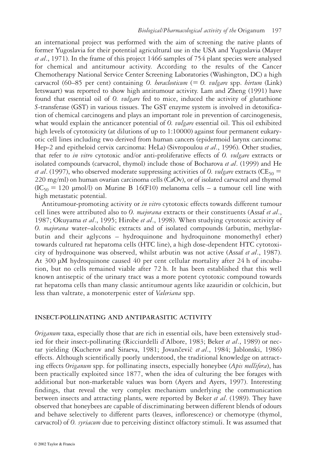an international project was performed with the aim of screening the native plants of former Yugoslavia for their potential agricultural use in the USA and Yugoslavia (Mayer *et al*., 1971). In the frame of this project 1466 samples of 754 plant species were analysed for chemical and antitumour activity. According to the results of the Cancer Chemotherapy National Service Center Screening Laboratories (Washington, DC) a high carvacrol (60–85 per cent) containing *O. heracleoticum* ( *O. vulgare* spp. *hirtum* (Link) Ietswaart) was reported to show high antitumour activity. Lam and Zheng (1991) have found that essential oil of *O. vulgare* fed to mice, induced the activity of glutathione *S*-transferase (GST) in various tissues. The GST enzyme system is involved in detoxification of chemical carcinogens and plays an important role in prevention of carcinogenesis, what would explain the anticancer potential of *O. vulgare* essential oil. This oil exhibited high levels of cytotoxicity (at dilutions of up to 1:10000) against four permanent eukaryotic cell lines including two derived from human cancers (epidermoid larynx carcinoma: Hep-2 and epitheloid cervix carcinoma: HeLa) (Sivropoulou *et al*., 1996). Other studies, that refer to *in vitro* cytotoxic and/or anti-proliferative effects of *O. vulgare* extracts or isolated compounds (carvacrol, thymol) include those of Bocharova *et al*. (1999) and He *et al.* (1997), who observed moderate suppressing activities of *O. vulgare* extracts (CE<sub>50</sub> = 220 mg/ml) on human ovarian carcinoma cells (CaOv), or of isolated carvacrol and thymol  $(IC<sub>50</sub> = 120$  µmol/l) on Murine B 16(F10) melanoma cells – a tumour cell line with high metastatic potential.

Antitumour-promoting activity or *in vitro* cytotoxic effects towards different tumour cell lines were attributed also to *O. majorana* extracts or their constituents (Assaf *et al*., 1987; Okuyama *et al*., 1995; Hirobe *et al*., 1998). When studying cytotoxic activity of *O. majorana* water–alcoholic extracts and of isolated compounds (arbutin, methylarbutin and their aglycons – hydroquinone and hydroquinone monomethyl ether) towards cultured rat hepatoma cells (HTC line), a high dose-dependent HTC cytotoxicity of hydroquinone was observed, whilst arbutin was not active (Assaf *et al*., 1987). At 300 µM hydroquinone caused 40 per cent cellular mortality after 24 h of incubation, but no cells remained viable after 72 h. It has been established that this well known antiseptic of the urinary tract was a more potent cytotoxic compound towards rat hepatoma cells than many classic antitumour agents like azauridin or colchicin, but less than valtrate, a monoterpenic ester of *Valeriana* spp.

#### **INSECT-POLLINATING AND ANTIPARASITIC ACTIVITY**

*Origanum* taxa, especially those that are rich in essential oils, have been extensively studied for their insect-pollinating (Ricciurdelli d'Albore, 1983; Beker *et al*., 1989) or nectar yielding (Kucherov and Siraeva, 1981; Jovančević et al., 1984; Jablonski, 1986) effects. Although scientifically poorly understood, the traditional knowledge on attracting effects *Origanum* spp. for pollinating insects, especially honeybee (*Apis mellifera*), has been practically exploited since 1877, when the idea of culturing the bee forages with additional but non-marketable values was born (Ayers and Ayers, 1997). Interesting findings, that reveal the very complex mechanism underlying the communication between insects and attracting plants, were reported by Beker *et al*. (1989). They have observed that honeybees are capable of discriminating between different blends of odours and behave selectively to different parts (leaves, inflorescence) or chemotype (thymol, carvacrol) of *O. syriacum* due to perceiving distinct olfactory stimuli. It was assumed that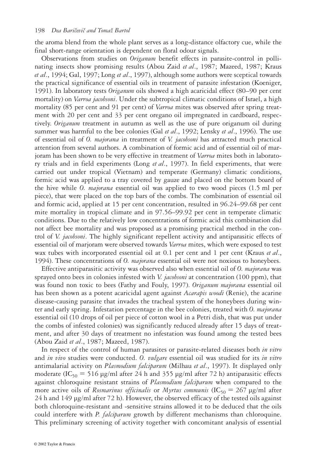the aroma blend from the whole plant serves as a long-distance olfactory cue, while the final short-range orientation is dependent on floral odour signals.

Observations from studies on *Origanum* benefit effects in parasite-control in pollinating insects show promising results (Abou Zaid *et al*., 1987; Mazeed, 1987; Kraus *et al*., 1994; Gal, 1997; Long *et al*., 1997), although some authors were sceptical towards the practical significance of essential oils in treatment of parasite infestation (Koeniger, 1991). In laboratory tests *Origanum* oils showed a high acaricidal effect (80–90 per cent mortality) on *Varroa jacobsoni*. Under the subtropical climatic conditions of Israel, a high mortality (85 per cent and 91 per cent) of *Varroa* mites was observed after spring treatment with 20 per cent and 33 per cent oregano oil impregnated in cardboard, respectively. *Origanum* treatment in autumn as well as the use of pure origanum oil during summer was harmful to the bee colonies (Gal *et al*., 1992; Lensky *et al*., 1996). The use of essential oil of *O. majorana* in treatment of *V. jacobsoni* has attracted much practical attention from several authors. A combination of formic acid and of essential oil of marjoram has been shown to be very effective in treatment of *Varroa* mites both in laboratory trials and in field experiments (Long *et al*., 1997). In field experiments, that were carried out under tropical (Vietnam) and temperate (Germany) climatic conditions, formic acid was applied to a tray covered by gauze and placed on the bottom board of the hive while *O. majorana* essential oil was applied to two wood pieces (1.5 ml per piece), that were placed on the top bars of the combs. The combination of essential oil and formic acid, applied at 15 per cent concentration, resulted in 96.24–99.68 per cent mite mortality in tropical climate and in 97.56–99.92 per cent in temperate climatic conditions. Due to the relatively low concentrations of formic acid this combination did not affect bee mortality and was proposed as a promising practical method in the control of *V. jacobsoni*. The highly significant repellent activity and antiparasitic effects of essential oil of marjoram were observed towards *Varroa* mites, which were exposed to test wax tubes with incorporated essential oil at 0.1 per cent and 1 per cent (Kraus *et al*., 1994). These concentrations of *O. majorana* essential oil were not noxious to honeybees.

Effective antiparasitic activity was observed also when essential oil of *O. majorana* was sprayed onto bees in colonies infested with *V. jacobsoni* at concentration (100 ppm), that was found non toxic to bees (Fathy and Fouly, 1997). *Origanum majorana* essential oil has been shown as a potent acaricidal agent against *Acarapis woodi* (Renie), the acarine disease-causing parasite that invades the tracheal system of the honeybees during winter and early spring. Infestation percentage in the bee colonies, treated with *O. majorana* essential oil (10 drops of oil per piece of cotton wool in a Petri dish, that was put under the combs of infested colonies) was significantly reduced already after 15 days of treatment, and after 30 days of treatment no infestation was found among the tested bees (Abou Zaid *et al*., 1987; Mazeed, 1987).

In respect of the control of human parasites or parasite-related diseases both *in vitro* and *in vivo* studies were conducted. *O. vulgare* essential oil was studied for its *in vitro* antimalarial activity on *Plasmodium falciparum* (Milhau *et al*., 1997). It displayed only moderate (IC<sub>50</sub> = 516 µg/ml after 24 h and 355 µg/ml after 72 h) antiparasitic effects against chloroquine resistant strains of *Plasmodium falciparum* when compared to the more active oils of *Rosmarinus officinalis* or *Myrtus communis*  $(IC_{50} = 267 \text{ µg/ml after}$ 24 h and 149 µg/ml after 72 h). However, the observed efficacy of the tested oils against both chloroquine-resistant and -sensitive strains allowed it to be deduced that the oils could interfere with *P. falciparum* growth by different mechanisms than chloroquine. This preliminary screening of activity together with concomitant analysis of essential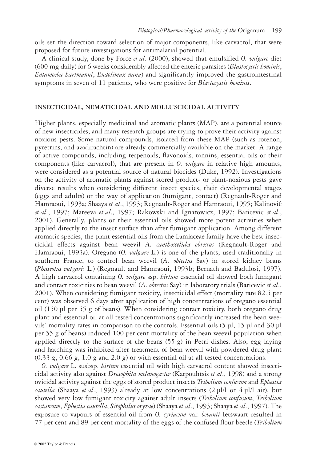oils set the direction toward selection of major components, like carvacrol, that were proposed for future investigations for antimalarial potential.

A clinical study, done by Force *et al*. (2000), showed that emulsified *O. vulgare* diet (600 mg daily) for 6 weeks considerably affected the enteric parasites (*Blastocystis hominis*, *Entamoeba hartmanni*, *Endolimax nana*) and significantly improved the gastrointestinal symptoms in seven of 11 patients, who were positive for *Blastocystis hominis*.

#### **INSECTICIDAL, NEMATICIDAL AND MOLLUSCICIDAL ACTIVITY**

Higher plants, especially medicinal and aromatic plants (MAP), are a potential source of new insecticides, and many research groups are trying to prove their activity against noxious pests. Some natural compounds, isolated from these MAP (such as rotenon, pyretrins, and azadirachtin) are already commercially available on the market. A range of active compounds, including terpenoids, flavonoids, tannins, essential oils or their components (like carvacrol), that are present in *O. vulgare* in relative high amounts, were considered as a potential source of natural biocides (Duke, 1992). Investigations on the activity of aromatic plants against stored product- or plant-noxious pests gave diverse results when considering different insect species, their developmental stages (eggs and adults) or the way of application (fumigant, contact) (Regnault-Roger and Hamraoui, 1993a; Shaaya et al., 1993; Regnault-Roger and Hamraoui, 1995; Kalinović *et al*., 1997; Mateeva *et al*., 1997; Rakowski and Ignatowicz, 1997; Baricevic *et al*., 2001). Generally, plants or their essential oils showed more potent activities when applied directly to the insect surface than after fumigant application. Among different aromatic species, the plant essential oils from the Lamiaceae family have the best insecticidal effects against bean weevil *A. canthoscelides obtectus* (Regnault-Roger and Hamraoui, 1993a). Oregano (*O. vulgare* L.) is one of the plants, used traditionally in southern France, to control bean weevil (*A. obtectus* Say) in stored kidney beans (*Phaseolus vulgaris* L.) (Regnault and Hamraoui, 1993b; Bernath and Badulosi, 1997). A high carvacrol containing *O. vulgare* ssp. *hirtum* essential oil showed both fumigant and contact toxicities to bean weevil (*A. obtectus* Say) in laboratory trials (Baricevic *et al*., 2001). When considering fumigant toxicity, insecticidal effect (mortality rate 82.5 per cent) was observed 6 days after application of high concentrations of oregano essential oil (150 µl per 55 g of beans). When considering contact toxicity, both oregano drug plant and essential oil at all tested concentrations significantly increased the bean weevils' mortality rates in comparison to the controls. Essential oils (5 µl, 15 µl and 30 µl per 55 g of beans) induced 100 per cent mortality of the bean weevil population when applied directly to the surface of the beans  $(55 g)$  in Petri dishes. Also, egg laying and hatching was inhibited after treatment of bean weevil with powdered drug plant  $(0.33 \text{ g}, 0.66 \text{ g}, 1.0 \text{ g}$  and  $(2.0 \text{ g})$  or with essential oil at all tested concentrations.

*O. vulgare* L. susbsp. *hirtum* essential oil with high carvacrol content showed insecticidal activity also against *Drosophila melanogaster* (Karpouhtsis *et al*., 1998) and a strong ovicidal activity against the eggs of stored product insects *Tribolium confusum* and *Ephestia cautella* (Shaaya *et al.*, 1993) already at low concentrations (2 µl/l or 4 µl/l air), but showed very low fumigant toxicity against adult insects (*Tribolium confusum*, *Tribolium castaneum*, *Ephestia cautella*, *Sitophilus oryzae*) (Shaaya *et al*., 1993; Shaaya *et al*., 1997). The exposure to vapours of essential oil from *O. syriacum* var. *bevanii* Ietswaart resulted in 77 per cent and 89 per cent mortality of the eggs of the confused flour beetle (*Tribolium*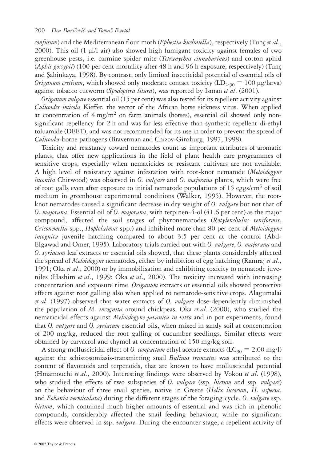*confusum*) and the Mediterranean flour moth (*Ephestia kuehniella*), respectively (Tunc et al., 2000). This oil (1 µl/l air) also showed high fumigant toxicity against females of two greenhouse pests, i.e. carmine spider mite (*Tetranychus cinnabarinus*) and cotton aphid (*Aphis gossypii*) (100 per cent mortality after 48 h and 96 h exposure, respectively) (Tunç and Sahinkaya, 1998). By contrast, only limited insecticidal potential of essential oils of *Origanum creticum*, which showed only moderate contact toxicity  $(LD_{>90} = 100 \text{ µg/larva})$ against tobacco cutworm (*Spodoptera litura*), was reported by Isman *et al*. (2001).

*Origanum vulgare* essential oil (15 per cent) was also tested for its repellent activity against *Culicoides imicola* Kieffer, the vector of the African horse sickness virus. When applied at concentration of  $4 \text{ mg/m}^2$  on farm animals (horses), essential oil showed only nonsignificant repellency for 2 h and was far less effective than synthetic repellent di-ethyl toluamide (DEET), and was not recommended for its use in order to prevent the spread of *Culicoides*-borne pathogens (Braverman and Chizov-Ginzburg, 1997, 1998).

Toxicity and resistancy toward nematodes count as important attributes of aromatic plants, that offer new applications in the field of plant health care programmes of sensitive crops, especially when nematicides or resistant cultivars are not available. A high level of resistancy against infestation with root-knot nematode (*Meloidogyne inconita* Chitwood) was observed in *O. vulgare* and *O. majorana* plants, which were free of root galls even after exposure to initial nematode populations of 15 eggs/ $\text{cm}^3$  of soil medium in greenhouse experimental conditions (Walker, 1995). However, the rootknot nematodes caused a significant decrease in dry weight of *O. vulgare* but not that of *O. majorana*. Essential oil of *O. majorana*, with terpinen-4-ol (41.6 per cent) as the major compound, affected the soil stages of phytonematodes (*Rotylenchulus reniformis*, *Criconemella* spp., *Hoplolaimus* spp.) and inhibited more than 80 per cent of *Meloidogyne incognita* juvenile hatching compared to about 3.5 per cent at the control (Abd-Elgawad and Omer, 1995). Laboratory trials carried out with *O. vulgare*, *O. majorana* and *O. syriacum* leaf extracts or essential oils showed, that these plants considerably affected the spread of *Meloidogyne* nematodes, either by inhibition of egg hatching (Ramraj *et al*., 1991; Oka *et al*., 2000) or by immobilisation and exhibiting toxicity to nematode juveniles (Hashim *et al*., 1999; Oka *et al*., 2000). The toxicity increased with increasing concentration and exposure time. *Origanum* extracts or essential oils showed protective effects against root galling also when applied to nematode-sensitive crops. Alagumalai *et al*. (1997) observed that water extracts of *O. vulgare* dose-dependently diminished the population of *M. incognita* around chickpeas. Oka *et al*. (2000), who studied the nematicidal effects against *Meloidogyne javanica in vitro* and in pot experiments, found that *O. vulgare* and *O. syriacum* essential oils, when mixed in sandy soil at concentration of 200 mg/kg, reduced the root galling of cucumber seedlings. Similar effects were obtained by carvacrol and thymol at concentration of 150 mg/kg soil.

A strong molluscicidal effect of *O. compactum* ethyl acetate extracts ( $LC_{90} = 2.00$  mg/l) against the schistosomiasis-transmitting snail *Bulinus truncatus* was attributed to the content of flavonoids and terpenoids, that are known to have molluscicidal potential (Hmamouchi *et al*., 2000). Interesting findings were observed by Vokou *et al*. (1998), who studied the effects of two subspecies of *O. vulgare* (ssp. *hirtum* and ssp. *vulgare*) on the behaviour of three snail species, native in Greece (*Helix lucorum*, *H. aspersa*, and *Eobania vermiculata*) during the different stages of the foraging cycle. *O. vulgare* ssp. *hirtum*, which contained much higher amounts of essential and was rich in phenolic compounds, considerably affected the snail feeding behaviour, while no significant effects were observed in ssp. *vulgare*. During the encounter stage, a repellent activity of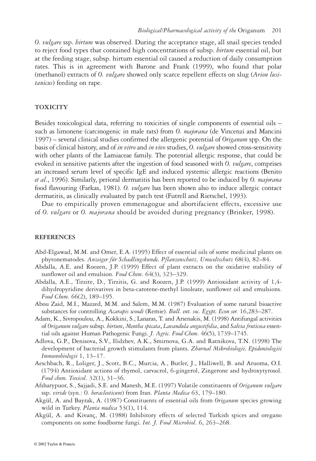*O. vulgare* ssp. *hirtum* was observed. During the acceptance stage, all snail species tended to reject food types that contained high concentrations of subsp. *hirtum* essential oil, but at the feeding stage, subsp. hirtum essential oil caused a reduction of daily consumption rates. This is in agreement with Barone and Frank (1999), who found that polar (methanol) extracts of *O. vulgare* showed only scarce repellent effects on slug (*Arion lusitanicus*) feeding on rape.

# **TOXICITY**

Besides toxicological data, referring to toxicities of single components of essential oils – such as limonene (carcinogenic in male rats) from *O. majorana* (de Vincenzi and Mancini 1997) – several clinical studies confirmed the allergenic potential of *Origanum* spp. On the basis of clinical history, and of *in vitro* and *in vivo* studies, *O. vulgare* showed cross-sensitivity with other plants of the Lamiaceae family. The potential allergic response, that could be evoked in sensitive patients after the ingestion of food seasoned with *O. vulgare*, comprises an increased serum level of specific IgE and induced systemic allergic reactions (Benito *et al*., 1996). Similarly, perioral dermatitis has been reported to be induced by *O. majorana* food flavouring (Farkas, 1981). *O. vulgare* has been shown also to induce allergic contact dermatitis, as clinically evaluated by patch test (Futrell and Rietschel, 1993).

Due to empirically proven emmenagogue and abortifacient effects, excessive use of *O. vulgare* or *O. majorana* should be avoided during pregnancy (Brinker, 1998).

#### **REFERENCES**

- Abd-Elgawad, M.M. and Omer, E.A. (1995) Effect of essential oils of some medicinal plants on phytonematodes. *Anzeiger für Schadlingskunde, Pflanzenschutz, Umweltschutz* 68(4), 82–84.
- Abdalla, A.E. and Roozen, J.P. (1999) Effect of plant extracts on the oxidative stability of sunflower oil and emulsion. *Food Chem*. 64(3), 323–329.
- Abdalla, A.E., Tirzite, D., Tirzitis, G. and Roozen, J.P. (1999) Antioxidant activity of 1,4 dihydropyridine derivatives in beta-carotene-methyl linoleate, sunflower oil and emulsions. *Food Chem*. 66(2), 189–195.
- Abou Zaid, M.I., Mazzed, M.M. and Salem, M.M. (1987) Evaluation of some natural bioactive substances for controlling *Acarapis woodi* (Remie). *Bull. ent. soc. Egypt, Econ ser.* 16,283–287.
- Adam, K., Sivropoulou, A., Kokkini, S., Lanaras, T. and Arsenakis, M. (1998) Antifungal activities of *Origanum vulgare* subsp. *hirtum*, *Mentha spicata*, *Lavandula angustifolia*, and *Salvia fruticosa* essential oils against Human Pathogenic Fungi. *J. Agric. Food Chem*. 46(5), 1739–1745.
- Adlova, G.P., Denisova, S.V., Ilidzhev, A.K., Smirnova, G.A. and Ratnikova, T.N. (1998) The development of bacterial growth stimulants from plants. *Zhurnal Mikrobiologii, Epidemiologiii Immunobiologii* 1, 13–17.
- Aeschbach, R., Loliger, J., Scott, B.C., Murcia, A., Butler, J., Halliwell, B. and Aruoma, O.I. (1794) Antioxidant actions of thymol, carvacrol, 6-gingerol, Zingerone and hydroxytyrosol. *Food chem. Toxicol.* 32(1), 31–36.
- Afsharypuor, S., Sajjadi, S.E. and Manesh, M.E. (1997) Volatile constituents of *Origanum vulgare* ssp. *viride* (syn.: *O. heracleoticum*) from Iran. *Planta Medica* 63, 179–180.
- Akgül, A. and Bayrak, A. (1987) Constituents of essential oils from *Origanum* species growing wild in Turkey. *Planta medica* 53(1), 114.
- Akgül, A. and Kivanç, M. (1988) Inhibitory effects of selected Turkish spices and oregano components on some foodborne fungi. *Int. J. Food Microbiol*. 6, 263–268.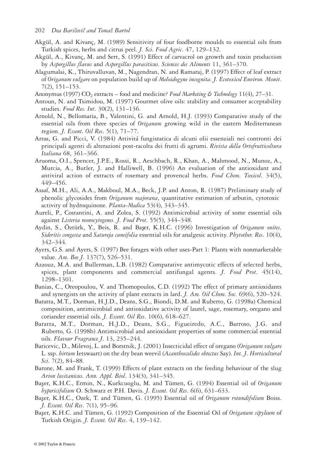- Akgül, A. and Kivanç, M. (1989) Sensitivity of four foodborne moulds to essential oils from Turkish spices, herbs and citrus peel. *J. Sci. Food Agric*. 47, 129–132.
- Akgül, A., Kivanç, M. and Sert, S. (1991) Effect of carvacrol on growth and toxin production by *Aspergillus flavus* and *Aspergillus parasiticus. Sciences des Aliments* 11, 361–370.
- Alagumalai, K., Thiruvalluvan, M., Nagendran, N. and Ramaraj, P. (1997) Effect of leaf extract of *Origanum vulgare* on population build up of *Meloidogyne incognita. J. Ecotoxicol Environ. Monit*. 7(2), 151–153.
- Anonymus (1997) CO2 extracts food and medicine? *Food Marketing & Technology* 11(4), 27–31.
- Antoun, N. and Tsimidou, M. (1997) Gourmet olive oils: stability and consumer acceptability studies. *Food Res. Int*. 30(2), 131–136.
- Arnold, N., Bellomaria, B., Valentini, G. and Arnold, H.J. (1993) Comparative study of the essential oils from three species of *Origanum* growing wild in the eastern Mediterranean region. *J. Essent. Oil Res*. 5(1), 71–77.
- Arras, G. and Picci, V. (1984) Attivitá fungistatica di alcuni olii essenziali nei contronti dei principali agenti di alterazioni post-racolta dei frutti di agrumi. *Rivista della Ortofrutticoltura Italiana* 68, 361–366.
- Aruoma, O.I., Spencer, J.P.E., Rossi, R., Aeschbach, R., Khan, A., Mahmood, N., Munoz, A., Murcia, A., Butler, J. and Halliwell, B. (1996) An evaluation of the antioxidant and antiviral action of extracts of rosemary and provencal herbs. *Food Chem. Toxicol*. 34(5), 449–456.
- Assaf, M.H., Ali, A.A., Makboul, M.A., Beck, J.P. and Anton, R. (1987) Preliminary study of phenolic glycosides from *Origanum majorana*, quantitative estimation of arbutin, cytotoxic activity of hydroquinone. *Planta-Medica* 53(4), 343–345.
- Aureli, P., Costantini, A. and Zolea, S. (1992) Antimicrobial activity of some essential oils against *Listeria monocytogenes. J. Food Prot*. 55(5), 344–348.
- Aydin, S., Öztürk, Y., Beis, R. and Başer, K.H.C. (1996) Investigation of Origanum onites, *Sideritis congesta* and *Satureja cuneifolia* essential oils for analgesic activity. *Phytother. Res*. 10(4), 342–344.
- Ayers, G.S. and Ayers, S. (1997) Bee forages with other uses-Part 1: Plants with nonmarketable value. *Am. Bee J*. 137(7), 526–531.
- Azzouz, M.A. and Bullerman, L.B. (1982) Comparative antimycotic effects of selected herbs, spices, plant components and commercial antifungal agents. *J. Food Prot*. 45(14), 1298–1301.
- Banias, C., Oreopoulou, V. and Thomopoulos, C.D. (1992) The effect of primary antioxidants and synergists on the activity of plant extracts in lard. *J. Am. Oil Chem. Soc*. 69(6), 520–524.
- Baratta, M.T., Dorman, H.J.D., Deans, S.G., Biondi, D.M. and Ruberto, G. (1998a) Chemical composition, antimicrobial and antioxidative activity of laurel, sage, rosemary, oregano and coriander essential oils. *J. Essent. Oil Res*. 10(6), 618–627.
- Baratta, M.T., Dorman, H.J.D., Deans, S.G., Figueiredo, A.C., Barroso, J.G. and Ruberto, G. (1998b) Antimicrobial and antioxidant properties of some commercial essential oils. *Flavour Fragrance J*. 13, 235–244.
- Baricevic, D., Milevoj, L. and Borstnik, J. (2001) Insecticidal effect of oregano (*Origanum vulgare* L. ssp. *hirtum* Ietswaart) on the dry bean weevil (*Acanthoscelides obtectus* Say). *Int. J. Horticultural Sci*. 7(2), 84–88.
- Barone, M. and Frank, T. (1999) Effects of plant extracts on the feeding behaviour of the slug *Arion lusitanicus. Ann. Appl. Biol*. 134(3), 341–345.
- Başer, K.H.C., Ermin, N., Kurkcuoglu, M. and Tümen, G. (1994) Essential oil of *Origanum hypericifolium* O. Schwarz et P.H. Davis. *J. Essent. Oil Res*. 6(6), 631–633.
- Baser, K.H.C., Ozek, T. and Tümen, G. (1995) Essential oil of *Origanum rotundifolium* Boiss. *J. Essent. Oil Res*. 7(1), 95–96.
- Baser, K.H.C. and Tümen, G. (1992) Composition of the Essential Oil of *Origanum sipyleum* of Turkish Origin. *J. Essent. Oil Res*. 4, 139–142.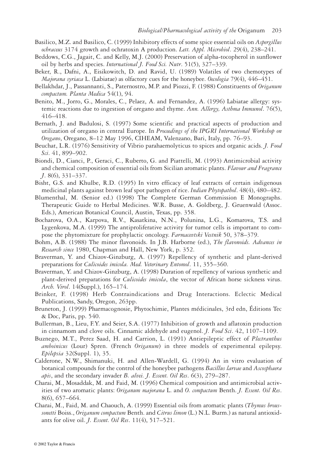- Basilico, M.Z. and Basilico, C. (1999) Inhibitory effects of some spice essential oils on *Aspergillus ochraceus* 3174 growth and ochratoxin A production. *Lett. Appl. Microbiol*. 29(4), 238–241.
- Beddows, C.G., Jagait, C. and Kelly, M.J. (2000) Preservation of alpha-tocopherol in sunflower oil by herbs and species. *International J. Food Sci. Nutr*. 51(5), 327–339.
- Beker, R., Dafni, A., Eisikowitch, D. and Ravid, U. (1989) Volatiles of two chemotypes of *Majorana syriaca* L. (Labiatae) as olfactory cues for the honeybee. *Oecologia* 79(4), 446–451.
- Bellakhdar, J., Passannanti, S., Paternostro, M.P. and Piozzi, F. (1988) Constituents of *Origanum compactum. Planta Medica* 54(1), 94.
- Benito, M., Jorro, G., Morales, C., Pelaez, A. and Fernandez, A. (1996) Labiatae allergy: systemic reactions due to ingestion of oregano and thyme. *Ann. Allergy, Asthma Immunol*. 76(5), 416–418.
- Bernath, J. and Badulosi, S. (1997) Some scientific and practical aspects of production and utilization of oregano in central Europe. In *Proceedings of the IPGRI International Workshop on Oregano*, Oregano, 8–12 May 1996, CIHEAM, Valenzano, Bari, Italy, pp. 76–93.
- Beuchat, L.R. (1976) Sensitivity of Vibrio parahaemolyticus to spices and organic acids. *J. Food Sci*. 41, 899–902.
- Biondi, D., Cianci, P., Geraci, C., Ruberto, G. and Piattelli, M. (1993) Antimicrobial activity and chemical composition of essential oils from Sicilian aromatic plants. *Flavour and Fragrance J*. 8(6), 331–337.
- Bisht, G.S. and Khulbe, R.D. (1995) In vitro efficacy of leaf extracts of certain indigenous medicinal plants against brown leaf spot pathogen of rice. *Indian Phytopathol*. 48(4), 480–482.
- Blumenthal, M. (Senior ed.) (1998) The Complete German Commission E Monographs. Therapeutic Guide to Herbal Medicines. W.R. Busse, A. Goldberg, J. Gruenwald (Assoc. Eds.), American Botanical Council, Austin, Texas, pp. 358.
- Bocharova, O.A., Karpova, R.V., Kasatkina, N.N., Polunina, L.G., Komarova, T.S. and Lygenkova, M.A. (1999) The antiproliferative activity for tumor cells is important to compose the phytomixture for prophylactic oncology. *Farmacevtski Vestnik* 50, 378–379.
- Bohm, A.B. (1988) The minor flavonoids. In J.B. Harborne (ed.), *The flavonoids. Advances in Research since* 1980, Chapman and Hall, New York, p. 352.
- Braverman, Y. and Chizov-Ginzburg, A. (1997) Repellency of synthetic and plant-derived preparations for *Culicoides imicola. Med. Veterinary Entomol*. 11, 355–360.
- Braverman, Y. and Chizov-Ginzburg, A. (1998) Duration of repellency of various synthetic and plant-derived preparations for *Culicoides imicola*, the vector of African horse sickness virus. *Arch. Virol*. 14(Suppl.), 165–174.
- Brinker, F. (1998) Herb Contraindications and Drug Interactions. Eclectic Medical Publications, Sandy, Oregon, 263pp.
- Bruneton, J. (1999) Pharmacognosie, Phytochimie, Plantes médicinales, 3rd edn, Éditions Tec & Doc, Paris, pp. 540.
- Bullerman, B., Lieu, F.Y. and Seier, S.A. (1977) Inhibition of growth and aflatoxin production in cinnamom and clove oils. Cinnamic aldehyde and eugenol. *J. Food Sci*. 42, 1107–1109.
- Buznego, M.T., Perez Saad, H. and Carrion, L. (1991) Antiepileptic effect of *Plectranthus amboinicus* (Lour) Spren. (French *Origanum*) in three models of experimental epilepsy. *Epilepsia* 32(Suppl. 1), 35.
- Calderone, N.W., Shimanuki, H. and Allen-Wardell, G. (1994) An in vitro evaluation of botanical compounds for the control of the honeybee pathogens *Bacillus larvae* and *Ascosphaera apis*, and the secondary invader *B. alvei. J. Essent. Oil Res*. 6(3), 279–287.
- Charai, M., Mosaddak, M. and Faid, M. (1996) Chemical composition and antimicrobial activities of two aromatic plants: *Origanum majorana* L. and *O. compactum* Benth. *J. Essent. Oil Res*. 8(6), 657–664.
- Charai, M., Faid, M. and Chaouch, A. (1999) Essential oils from aromatic plants (*Thymus broussonetti* Boiss., *Origanum compactum* Benth. and *Citrus limon* (L.) N.L. Burm.) as natural antioxidants for olive oil. *J. Essent. Oil Res*. 11(4), 517–521.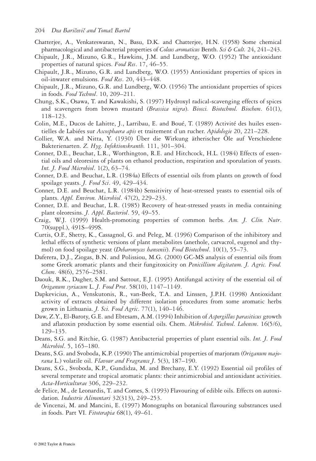- Chatterjee, A., Venkateswaran, N., Basu, D.K. and Chatterjee, H.N. (1958) Some chemical pharmacological and antibacterial properties of *Coleus aromaticus* Benth. *Sci & Cult.* 24, 241–243.
- Chipault, J.R., Mizuno, G.R., Hawkins, J.M. and Lundberg, W.O. (1952) The antioxidant properties of natural spices. *Food Res*. 17, 46–55.
- Chipault, J.R., Mizuno, G.R. and Lundberg, W.O. (1955) Antioxidant properties of spices in oil-inwater emulsions. *Food Res*. 20, 443–448.
- Chipault, J.R., Mizuno, G.R. and Lundberg, W.O. (1956) The antioxidant properties of spices in foods. *Food Technol*. 10, 209–211.
- Chung, S.K., Osawa, T. and Kawakishi, S. (1997) Hydroxyl radical-scavenging effects of spices and scavengers from brown mustard (*Brassica nigra*). *Biosci. Biotechnol. Biochem*. 61(1), 118–123.
- Colin, M.E., Ducos de Lahitte, J., Larribau, E. and Boué, T. (1989) Activité des huiles essentielles de Labiées sur *Ascosphaera apis* et traitement d'un rucher. *Apidologie* 20, 221–228.
- Collier, W.A. and Nitta, Y. (1930) Über die Wirkung ätherischer Öle auf Verschiedene Bakterienarten. *Z. Hyg. Infektionskranth.* 111, 301–304.
- Conner, D.E., Beuchat, L.R., Worthington, R.E. and Hitchcock, H.L. (1984) Effects of essential oils and oleoresins of plants on ethanol production, respiration and sporulation of yeasts. *Int. J. Food Microbiol*. 1(2), 63–74.
- Conner, D.E. and Beuchat, L.R. (1984a) Effects of essential oils from plants on growth of food spoilage yeasts. *J. Food Sci*. 49, 429–434.
- Conner, D.E. and Beuchat, L.R. (1984b) Sensitivity of heat-stressed yeasts to essential oils of plants. *Appl. Environ. Microbiol*. 47(2), 229–233.
- Conner, D.E. and Beuchat, L.R. (1985) Recovery of heat-stressed yeasts in media containing plant oleoresins. *J. Appl. Bacteriol*. 59, 49–55.
- Craig, W.J. (1999) Health-promoting properties of common herbs. *Am. J. Clin. Nutr*. 70(suppl.), 491S–499S.
- Curtis, O.F., Shetty, K., Cassagnol, G. and Peleg, M. (1996) Comparison of the inhibitory and lethal effects of synthetic versions of plant metabolites (anethole, carvacrol, eugenol and thymol) on food spoilage yeast (*Debaromyces hansenii*). *Food Biotechnol*. 10(1), 55–73.
- Daferera, D.J., Ziogas, B.N. and Polissiou, M.G. (2000) GC-MS analysis of essential oils from some Greek aromatic plants and their fungitoxicity on *Penicillium digitatum. J. Agric. Food. Chem*. 48(6), 2576–2581.
- Daouk, R.K., Dagher, S.M. and Sattout, E.J. (1995) Antifungal activity of the essential oil of *Origanum syriacum* L. *J. Food Prot*. 58(10), 1147–1149.
- Dapkevicius, A., Venskutonis, R., van-Beek, T.A. and Linssen, J.P.H. (1998) Antioxidant activity of extracts obtained by different isolation procedures from some aromatic herbs grown in Lithuania. *J. Sci. Food Agric*. 77(1), 140–146.
- Daw, Z.Y., El-Baroty, G.E. and Ebtesam, A.M. (1994) Inhibition of *Aspergillus parasiticus* growth and aflatoxin production by some essential oils. Chem. *Mikrobiol. Technol. Lebensm*. 16(5/6), 129–135.
- Deans, S.G. and Ritchie, G. (1987) Antibacterial properties of plant essential oils. *Int. J. Food Microbiol*. 5, 165–180.
- Deans, S.G. and Svoboda, K.P. (1990) The antimicrobial properties of marjoram (*Origanum majorana* L.) volatile oil. *Flavour and Fragrance J*. 5(3), 187–190.
- Deans, S.G., Svoboda, K.P., Gundidza, M. and Brechany, E.Y. (1992) Essential oil profiles of several temperate and tropical aromatic plants: their antimicrobial and antioxidant activities. *Acta-Horticulturae* 306, 229–232.
- de Felice, M., de Leonardis, T. and Comes, S. (1993) Flavouring of edible oils. Effects on autoxidation. *Industrie Alimentari* 32(313), 249–253.
- de Vincenzi, M. and Mancini, E. (1997) Monographs on botanical flavouring substrances used in foods. Part VI. *Fitoterapia* 68(1), 49–61.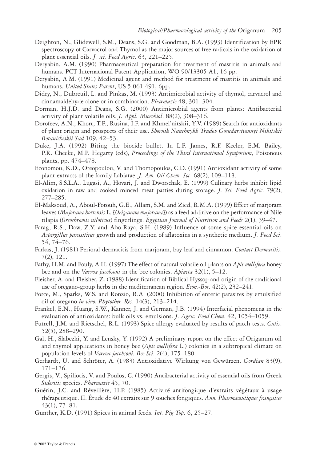- Deighton, N., Glidewell, S.M., Deans, S.G. and Goodman, B.A. (1993) Identification by EPR spectroscopy of Carvacrol and Thymol as the major sources of free radicals in the oxidation of plant essential oils. *J. sci. Food Agric*. 63, 221–225.
- Deryabin, A.M. (1990) Pharmaceutical preparation for treatment of mastitis in animals and humans. PCT International Patent Application, WO 90/13305 A1, 16 pp.
- Deryabin, A.M. (1991) Medicinal agent and method for treatment of mastitis in animals and humans. *United States Patent*, US 5 061 491, 6pp.
- Didry, N., Dubreuil, L. and Pinkas, M. (1993) Antimicrobial activity of thymol, carvacrol and cinnamaldehyde alone or in combination. *Pharmazie* 48, 301–304.
- Dorman, H.J.D. and Deans, S.G. (2000) Antimicrobial agents from plants: Antibacterial activity of plant volatile oils. *J. Appl. Microbiol*. 88(2), 308–316.
- Dorofeev, A.N., Khort, T.P., Rusina, I.F. and Khmel'nitskii, Y.V. (1989) Search for antioxidants of plant origin and prospects of their use. *Sbornik Nauchnykh Trudov Gosudarstvennyi Nikitskii Botanicheskii Sad* 109, 42–53.
- Duke, J.A. (1992) Biting the biocide bullet. In L.F. James, R.F. Keeler, E.M. Bailey, P.R. Cheeke, M.P. Hegarty (eds), *Proceedings of the Third International Symposium*, Poisonous plants, pp. 474–478.
- Economou, K.D., Oreopoulou, V. and Thomopoulos, C.D. (1991) Antioxidant activity of some plant extracts of the family Labiatae. *J. Am. Oil Chem. Soc*. 68(2), 109–113.
- El-Alim, S.S.L.A., Lugasi, A., Hovari, J. and Dworschak, E. (1999) Culinary herbs inhibit lipid oxidation in raw and cooked minced meat patties during storage. *J. Sci. Food Agric*. 79(2), 277–285.
- El-Maksoud, A., Aboul-Fotouh, G.E., Allam, S.M. and Zied, R.M.A. (1999) Effect of marjoram leaves (*Majorana hortensis* L. [*Origanum majorana*]) as a feed additive on the performance of Nile tilapia (*Oreochromis niloticus*) fingerlings. *Egyptian Journal of Nutrition and Feeds* 2(1), 39–47.
- Farag, R.S., Daw, Z.Y. and Abo-Raya, S.H. (1989) Influence of some spice essential oils on *Aspergillus parasiticus* growth and production of aflatoxins in a synthetic medium. *J. Food Sci*. 54, 74–76.
- Farkas, J. (1981) Perioral dermatitis from marjoram, bay leaf and cinnamon. *Contact Dermatitis*. 7(2), 121.
- Fathy, H.M. and Fouly, A.H. (1997) The effect of natural volatile oil plants on *Apis mellifera* honey bee and on the *Varroa jacobsoni* in the bee colonies. *Apiacta* 32(1), 5–12.
- Fleisher, A. and Fleisher, Z. (1988) Identification of Biblical Hyssop and origin of the traditional use of oregano-group herbs in the mediterranean region. *Econ.-Bot*. 42(2), 232–241.
- Force, M., Sparks, W.S. and Ronzio, R.A. (2000) Inhibition of enteric parasites by emulsified oil of oregano *in vivo. Phytother. Res*. 14(3), 213–214.
- Frankel, E.N., Huang, S.W., Kanner, J. and German, J.B. (1994) Interfacial phenomena in the evaluation of antioxidants: bulk oils vs. emulsions. *J. Agric. Food Chem*. 42, 1054–1059.
- Futrell, J.M. and Rietschel, R.L. (1993) Spice allergy evaluated by results of patch tests. *Cutis*. 52(5), 288–290.
- Gal, H., Slabezki, Y. and Lensky, Y. (1992) A preliminary report on the effect of Origanum oil and thymol applications in honey bee (*Apis mellifera* L.) colonies in a subtropical climate on population levels of *Varroa jacobsoni. Bee Sci*. 2(4), 175–180.
- Gerhardt, U. and Schröter, A. (1983) Antioxidative Wirkung von Gewürzen. *Gordian* 83(9), 171–176.
- Gergis, V., Spiliotis, V. and Poulos, C. (1990) Antibacterial activity of essential oils from Greek *Sideritis* species. *Pharmazie* 45, 70.
- Guérin, J.C. and Réveillère, H.P. (1985) Activité antifongique d'extraits végétaux à usage thérapeutique. II. Étude de 40 extraits sur 9 souches fongiques. *Ann. Pharmaceutiques françaises* 43(1), 77–81.
- Gunther, K.D. (1991) Spices in animal feeds. *Int. Pig Top*. 6, 25–27.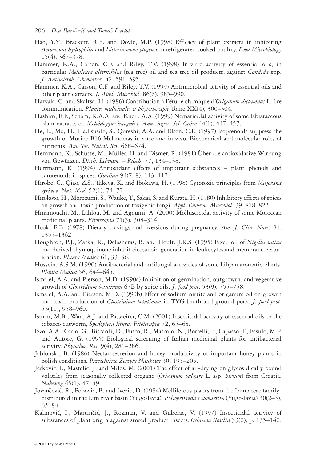- Hao, Y.Y., Brackett, R.E. and Doyle, M.P. (1998) Efficacy of plant extracts in inhibiting *Aeromonas hydrophila* and *Listeria monocytogenes* in refrigerated cooked poultry. *Food Microbiology* 15(4), 367–378.
- Hammer, K.A., Carson, C.F. and Riley, T.V. (1998) In-vitro activity of essential oils, in particular *Melaleuca alternifolia* (tea tree) oil and tea tree oil products, against *Candida* spp. *J. Antimicrob. Chemother*. 42, 591–595.
- Hammer, K.A., Carson, C.F. and Riley, T.V. (1999) Antimicrobial activity of essential oils and other plant extracts. *J. Appl. Microbiol*. 86(6), 985–990.
- Harvala, C. and Skaltsa, H. (1986) Contribution à l'étude chimique d'*Origanum dictamnus* L. 1re communication. *Plantes médicinales et phytothérapie* Tome XX(4), 300–304.
- Hashim, E.F., Seham, K.A.A. and Kheir, A.A. (1999) Nematicidal activity of some labiataceous plant extracts on *Meloidogyne incognita. Ann. Agric. Sci. Cairo* 44(1), 447–457.
- He, L., Mo, H., Hadisusilo, S., Qureshi, A.A. and Elson, C.E. (1997) Isoprenoids suppress the growth of Murine B16 Melanomas in vitro and in vivo. Biochemical and molecular roles of nutrients. *Am. Soc. Nutrit. Sci*. 668–674.
- Herrmann, K., Schütte, M., Müller, H. and Dismer, R. (1981) Über die antioxidative Wirkung von Gewürzen. *Dtsch. Lebensm. – Rdsch*. 77, 134–138.
- Herrmann, K. (1994) Antioxidant effects of important substances plant phenols and carotenoids in spices. *Gordian* 94(7–8), 113–117.
- Hirobe, C., Qiao, Z.S., Takeya, K. and Ibokawa, H. (1998) Cytotoxic principles from *Majorana syriaca. Nat. Med.* 52(1), 74–77.
- Hitokoto, H., Morozumi, S., Wauke, T., Sakai, S. and Kurata, H. (1980) Inhibitory effects of spices on growth and toxin production of toxigenic fungi. *Appl. Environ. Microbiol*. 39, 818–822.
- Hmamouchi, M., Lahlou, M. and Agoumi, A. (2000) Molluscicidal activity of some Moroccan medicinal plants. *Fitoterapia* 71(3), 308–314.
- Hook, E.B. (1978) Dietary cravings and aversions during pregnancy. *Am. J. Clin. Nutr*. 31, 1355–1362.
- Houghton, P.J., Zarka, R., Delasheras, B. and Hoult, J.R.S. (1995) Fixed oil of *Nigella sativa* and derived thymoquinone inhibit eicosanoid generation in leukocytes and membrane peroxidation. *Planta Medica* 61, 33–36.
- Hussein, A.S.M. (1990) Antibacterial and antifungal activities of some Libyan aromatic plants. *Planta Medica* 56, 644–645.
- Ismaiel, A.A. and Pierson, M.D. (1990a) Inhibition of germination, outgrowth, and vegetative growth of *Clostridium botulinum* 67B by spice oils. *J. food prot*. 53(9), 755–758.
- Ismaiel, A.A. and Pierson, M.D. (1990b) Effect of sodium nitrite and origanum oil on growth and toxin production of *Clostridium botulinum* in TYG broth and ground pork. *J. food prot*. 53(11), 958–960.
- Isman, M.B., Wan, A.J. and Passreiter, C.M. (2001) Insecticidal activity of essential oils to the tobacco cutworm, *Spodoptera litura. Fitoterapia* 72, 65–68.
- Izzo, A.A., Carlo, G., Biscardi, D., Fusco, R., Mascolo, N., Borrelli, F., Capasso, F., Fasulo, M.P. and Autore, G. (1995) Biological screening of Italian medicinal plants for antibacterial activity. *Phytother. Res*. 9(4), 281–286.
- Jablonski, B. (1986) Nectar secretion and honey productivity of important honey plants in polish conditions. *Pszczelnicze Zeszyty Naukowe* 30, 195–205.
- Jerkovic, I., Mastelic, J. and Milos, M. (2001) The effect of air-drying on glycosidically bound volatiles from seasonally collected oregano (*Origanum vulgare* L. ssp. *hirtum*) from Croatia. *Nahrung* 45(1), 47–49.
- Jovančević, R., Popovic, B. and Ivezic, D. (1984) Melliferous plants from the Lamiaceae family distributed in the Lim river basin (Yugoslavia). *Poljoprivreda i sumarstvo* (Yugoslavia) 30(2–3), 65–84.
- Kalinović, I., Martinčić, J., Rozman, V. and Guberac, V. (1997) Insecticidal activity of substances of plant origin against stored product insects. *Ochrana Rostlin* 33(2), p. 135–142.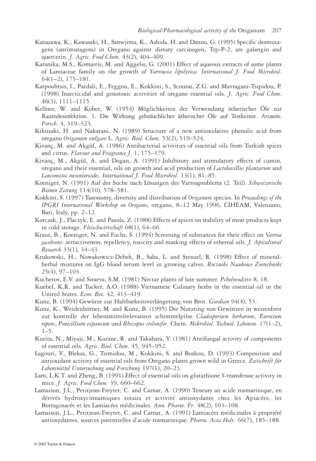- Kanazawa, K., Kawasaki, H., Samejima, K., Ashida, H. and Danno, G. (1995) Specific desmutagens (antimutagens) in Oregano against dietary carcinogen, Trp-P-2, are galangin and quercetin. *J. Agric. Food Chem*. 43(2), 404–409.
- Karanika, M.S., Komaitis, M. and Aggelis, G. (2001) Effect of aqueous extracts of some plants of Lamiaceae family on the growth of *Yarrowia lipolytica. International J. Food Microbiol*. 64(1–2), 175–181.
- Karpouhtsis, I., Pardali, E., Feggou, E., Kokkini, S., Scouras, Z.G. and Mavragani-Tsipidou, P. (1998) Insecticidal and genotoxic activities of oregano essential oils. *J. Agric. Food Chem*. 46(3), 1111–1115.
- Kellner, W. and Kober, W. (1954) Möglichkeiten der Verwendung ätherischer Öle zur Raumdesinfektion. 1. Die Wirkung gebräuchlicher ätherischer Öle auf Testkeime. *Arzneim. Forsch*. 4, 319–323.
- Kikuzaki, H. and Nakatani, N. (1989) Structure of a new antioxidative phenolic acid from oregano *Origanum vulgare* L. *Agric. Biol. Chem*. 53(2), 519–524.
- Kivanç, M. and Akgül, A. (1986) Antibacterial activities of essential oils from Turkish spices and citrus. *Flavour and Fragrance J*. 1, 175–179.
- Kivanç, M., Akgül, A. and Dogan, A. (1991) Inhibitory and stimulatory effects of cumin, oregano and their essential, oils on growth and acid production of *Lactobacillus plantarum* and *Leuconostoc mesenteroides. International J. Food Microbiol*. 13(1), 81–85.
- Koeniger, N. (1991) Auf der Suche nach Lösungen des Varroaproblems (2. Teil). *Schweizerische Bienen Zeitung* 114(10), 578–581.
- Kokkini, S. (1997) Taxonomy, diversity and distribution of *Origanum* species. In *Proceedings of the IPGRI International Workshop on Oregano*, oregano, 8–12 May 1996, CIHEAM, Valenzano, Bari, Italy, pp. 2–12.
- Korczak, J., Flaczyk, E. and Pazola, Z. (1988) Effects of spices on stability of meat products kept in cold storage. *Fleischwirtschaft* 68(1), 64–66.
- Kraus, B., Koeniger, N. and Fuchs, S. (1994) Screening of substances for their effect on *Varroa jacobsoni*: attractiveness, repellency, toxicity and masking effects of ethereal oils. *J. Apicultural Research* 33(1), 34–43.
- Krukowski, H., Nowakowicz-Debek, B., Saba, L. and Stenzel, R. (1998) Effect of mineralherbal mixtures on IgG blood serum level in growing calves. *Roczniki Naukowe Zootechniki* 25(4), 97–103.
- Kucherov, E.V. and Siraeva, S.M. (1981) Nectar plants of late summer. *Pchelovodstvo* 8, 18.
- Kuebel, K.R. and Tucker, A.O. (1988) Vietnamese Culinary herbs in the essential oil in the United States. *Econ. Bot.* 42, 413–419.
- Kunz, B. (1994) Gewürze zur Haltbarkeitsverlängerung von Brot. *Gordian* 94(4), 53.
- Kunz, K., Weidenbörner, M. and Kunz, B. (1995) Die Nutzting von Gewürzen in weizenbrot zur kontrolle der lebensmittelrelevanten schimmelpilze *Cladosporium herbarum*, *Eurotium repens*, *Penicillium expansum* und *Rhizopus stolonifer*. Chem. *Mikrobiol. Technol. Lebensm*. 17(1–2),  $1 - 5$ .
- Kurita, N., Miyaji, M., Kurane, R. and Takahara, Y. (1981) Antifungal activity of components of essential oils. *Agric. Biol. Chem*. 45, 945–952.
- Lagouri, V., Blekas, G., Tsimidou, M., Kokkini, S. and Boskou, D. (1993) Composition and antioxidant activity of essential oils from Oregano plants grown wild in Greece. *Zeitschrift für Lebensmittel Untersuchung und Forschung* 197(1), 20–23.
- Lam, L.K.T. and Zheng, B. (1991) Effect of essential oils on glutathione *S*-transferase activity in mice. *J. Agric. Food Chem.* 39, 660–662.
- Lamaison, J.L., Petitjean-Freytet, C. and Carnat, A. (1990) Teneurs an acide rosmarinique, en dérivés hydroxycinnamiques totaux et activité antioxydante chez les Apiacées, les Borraginacée et les Lamiacées médicinales. *Ann. Pharm. Fr*. 48(2), 103–108.
- Lamaison, J.L., Petitjean-Freytet, C. and Carnat, A. (1991) Lamiacées médicinales à propriété antioxydantes, sources potentielles d'acide rosmarinique. *Pharm. Acta Helv*. 66(7), 185–188.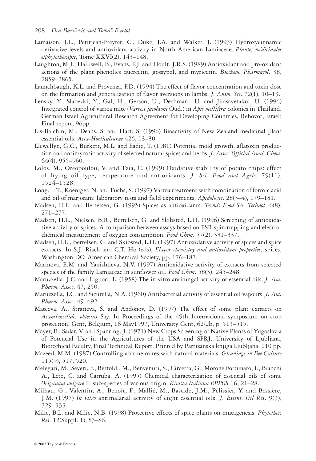- Lamaison, J.L., Petitjean-Freytet, C., Duke, J.A. and Walker, J. (1993) Hydroxycinnamic derivative levels and antioxidant activity in North American Lamiaceae. *Plantes médicinales etphytothérapie*, Tome XXVI(2), 143–148.
- Laughton, M.J., Halliwell, B., Evans, P.J. and Hoult, J.R.S. (1989) Antioxidant and pro-oxidant actions of the plant phenolics quercetin, gossypol, and myricetin. *Biochem. Pharmacol*. 38, 2859–2865.
- Launchbaugh, K.L. and Provenza, F.D. (1994) The effect of flavor concentration and toxin dose on the formation and generalization of flavor aversions in lambs. *J. Anim. Sci*. 72(1), 10–13.
- Lensky, Y., Slabezki, Y., Gal, H., Gerson, U., Dechmani, U. and Jirasavetakul, U. (1996) Integrated control of varroa mite (*Varroa jacobsoni* Oud.) in *Apis mellifera* colonies in Thailand. German Israel Agricultural Research Agreement for Developing Countries, Rehovot, Israel: Final report, 96pp.
- Lis-Balchin, M., Deans, S. and Hart, S. (1996) Bioactivity of New Zealand medicinal plant essential oils. *Acta-Horticulturae* 426, 13–30.
- Llewellyn, G.C., Burkett, M.L. and Eadie, T. (1981) Potential mold growth, aflatoxin production and antimycotic activity of selected natural spices and herbs. *J. Assoc. Official Anal. Chem*. 64(4), 955–960.
- Lolos, M., Oreopoulou, V. and Tzia, C. (1999) Oxidative stability of potato chips: effect of frying oil type, temperature and antioxidants. *J. Sci. Food and Agric*. 79(11), 1524–1528.
- Long, L.T., Koeniger, N. and Fuchs, S. (1997) Varroa treatment with combination of formic acid and oil of marjoram: laboratory tests and field experiments. *Apidologie*. 28(3–4), 179–181.
- Madsen, H.L. and Bertelsen, G. (1995) Spices as antioxidants. *Trends Food Sci. Technol*. 6(8), 271–277.
- Madsen, H.L., Nielsen, B.R., Bertelsen, G. and Skibsted, L.H. (1996) Screening of antioxidative activity of spices. A comparison between assays based on ESR spin trapping and electrochemical measurement of oxygen consumption. *Food Chem*. 57(2), 331–337.
- Madsen, H.L., Bertelsen, G. and Skibsted, L.H. (1997) Antioxidative activity of spices and spice extracts. In S.J. Risch and C.T. Ho (eds), *Flavor chemistry and antioxidant properties*, spices, Washington DC: American Chemical Society, pp. 176–187.
- Marinova, E.M. and Yanishlieva, N.V. (1997) Antioxidative activity of extracts from selected species of the family Lamiaceae in sunflower oil. *Food Chem*. 58(3), 245–248.
- Maruzzella, J.C. and Liguori, L. (1958) The in vitro antifungal activity of essential oils. *J. Am. Pharm. Assoc*. 47, 250.
- Maruzzella, J.C. and Sicurella, N.A. (1960) Antibacterial activity of essential oil vapours. *J. Am. Pharm. Assoc*. 49, 692.
- Mateeva, A., Stratieva, S. and Andonov, D. (1997) The effect of some plant extracts on *Acanthoscelides obtectus* Say. In Proceedings of the 49th International symposium on crop protection, Gent, Belgium, 16 May1997, University Gent, 62/2b, p. 513–515.
- Mayer, E., Sadar, V. and Spanring, J. (1971) New Crops Screening of Native Plants of Yugoslavia of Potential Use in the Agricultures of the USA and SFRJ. University of Ljubljana, Biotechical Faculty, Final Technical Report. Printed by Partizanska knjiga Ljubljana, 210 pp.
- Mazeed, M.M. (1987) Controlling acarine mites with natural materials. *Gleanings in Bee Culture* 115(9), 517, 520.
- Melegari, M., Severi, F., Bertoldi, M., Benvenuti, S., Circetta, G., Morone Fortunato, I., Bianchi A., Leto, C. and Carruba, A. (1995) Chemical characterization of essential oils of some *Origanum vulgare* L. sub-species of various origin. *Rivista Italiana EPPOS* 16, 21–28.
- Milhau, G., Valentin, A., Benoit, F., Mallié, M., Bastide, J.M., Pélissier, Y. and Bessière, J.M. (1997) *In vitro* antimalarial activity of eight essential oils. *J. Essent. Oil Res*. 9(3), 329–333.
- Milic, B.L. and Milic, N.B. (1998) Protective effects of spice plants on mutagenesis. *Phytother. Res*. 12(Suppl. 1), S3–S6.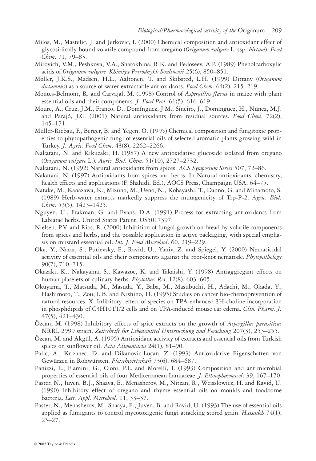- Milos, M., Mastelic, J. and Jerkovic, I. (2000) Chemical composition and antioxidant effect of glycosidically bound volatile compound from oregano (*Origanum vulgare* L. ssp. *hirtum*). *Food Chem*. 71, 79–83.
- Mirovich, V.M., Peshkova, V.A., Shatokhina, R.K. and Fedoseev, A.P. (1989) Phenolcarboxylic acids of *Origanum vulgare. Khimiya Prirodnykh Soedinenii* 25(6), 850–851.
- Møller, J.K.S., Madsen, H.L., Aaltonen, T. and Skibsted, L.H. (1999) Dittany (*Origanum dictamnus*) as a source of water-extractable antioxidants. *Food Chem*. 64(2), 215–219.
- Montes-Belmont, R. and Carvajal, M. (1998) Control of *Aspergillus flavus* in maize with plant essential oils and their components. *J. Food Prot*. 61(5), 616–619.
- Moure, A., Cruz, J.M., Franco, D., Domínguez, J.M., Sineiro, J., Domínguez, H., Núnez, M.J. and Parajó, J.C. (2001) Natural antioxidants from residual sources. *Food Chem*. 72(2), 145–171.
- Muller-Riebau, F., Berger, B. and Yegen, O. (1995) Chemical composition and fungitoxic properties to phytopathogenic fungi of essential oils of selected aromatic plants growing wild in Turkey. *J. Agric. Food Chem*. 43(8), 2262–2266.
- Nakatani, N. and Kikuzaki, H. (1987) A new antioxidative glucoside isolated from oregano (*Origanum vulgare* L.). *Agric. Biol. Chem*. 51(10), 2727–2732.
- Nakatani, N. (1992) Natural antioxidants from spices. *ACS Symposium Series* 507, 72–86.
- Nakatani, N. (1997) Antioxidants from spices and herbs. In Natural antioxidants: chemistry, health effects and applications (F. Shahidi, Ed.), AOCS Press, Champaign USA, 64–75.
- Natake, M., Kanazawa, K., Mizuno, M., Ueno, N., Kobayashi, T., Danno, G. and Minamoto, S. (1989) Herb-water extracts markedly suppress the mutagenicity of Trp-P-2. *Agric. Biol. Chem*. 53(5), 1423–1425.
- Nguyen, U., Frakman, G. and Evans, D.A. (1991) Process for extracting antioxidants from Labiatae herbs. United States Patent, US5017397.
- Nielsen, P.V. and Rios, R. (2000) Inhibition of fungal growth on bread by volatile components from spices and herbs, and the possible application in active packaging, with special emphasis on mustard essential oil. *Int. J. Food Microbiol*. 60, 219–229.
- Oka, Y., Nacar, S., Putievsky, E., Ravid, U., Yaniv, Z. and Spiegel, Y. (2000) Nematicidal activity of essential oils and their components against the root-knot nematode. *Phytopathology* 90(7), 710–715.
- Okazaki, K., Nakayama, S., Kawazoe, K. and Takaishi, Y. (1998) Antiaggregant effects on human platelets of culinary herbs. *Phytother. Res*. 12(8), 603–605.
- Okuyama, T., Matsuda, M., Masuda, Y., Baba, M., Masubuchi, H., Adachi, M., Okada, Y., Hashimoto, T., Zou, L.B. and Nishino, H. (1995) Studies on cancer bio-chemoprevention of natural resources. X. Inlibitory effect of species on TPA-enhanced 3H-choline incorporation in phosphdipids of C3H10T1/2 cells and on TPA-induced mouse ear edema. *Clin. Pharm. J.* 47(5), 421–430.
- Özcan, M. (1998) Inhibitory effects of spice extracts on the growth of *Aspergillus parasiticus* NRRL 2999 strain. *Zeitschrift fur Lebensmittel Untersuchung und Forschung* 207(3), 253–255.
- Özcan, M. and Akgül, A. (1995) Antioxidant activity of extracts and essential oils from Turkish spices on sunflower oil. *Acta Alimentaria* 24(1), 81-90.
- Palic, A., Krizanec, D. and Dikanovic-Lucan, Z. (1993) Antioxidative Eigenschaften von Gewürzen in Rohwürsten. *Fleischwirtschaft* 73(6), 684–687.
- Panizzi, L., Flamini, G., Cioni, P.L. and Morelli, I. (1993) Composition and antimicrobial properties of essential oils of four Mediterranean Lamiaceae. *J. Ethnopharmacol*. 39, 167–170.
- Paster, N., Juven, B.J., Shaaya, E., Menasherov, M., Nitzan, R., Weisslowicz, H. and Ravid, U. (1990) Inhibitory effect of oregano and thyme essential oils on moulds and foodborne bacteria. *Lett. Appl. Microbiol*. 11, 33–37.
- Paster, N., Menasherov, M., Shaaya, E., Juven, B. and Ravid, U. (1993) The use of essential oils applied as fumigants to control mycotoxigenic fungi attacking stored grain. *Hassadeh* 74(1), 25–27.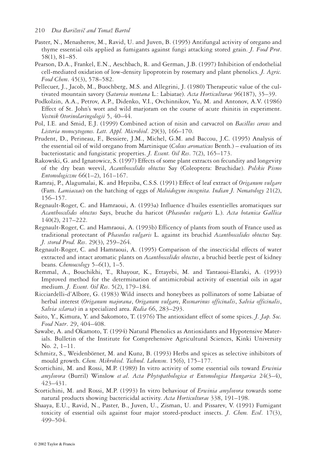- Paster, N., Menasherov, M., Ravid, U. and Juven, B. (1995) Antifungal activity of oregano and thyme essential oils applied as fumigants against fungi attacking stored grain. *J. Food Prot*. 58(1), 81–85.
- Pearson, D.A., Frankel, E.N., Aeschbach, R. and German, J.B. (1997) Inhibition of endothelial cell-mediated oxidation of low-density lipoprotein by rosemary and plant phenolics. *J. Agric. Food Chem*. 45(3), 578–582.
- Pellecuer, J., Jacob, M., Buochberg, M.S. and Allegrini, J. (1980) Therapeutic value of the cultivated mountain savory (*Satureia montana* L.: Labiatae). *Acta Horticulturae* 96(187), 35–39.
- Podkolzin, A.A., Petrov, A.P., Didenko, V.I., Ovchinnikov, Yu, M. and Antonov, A.V. (1986) Effect of St. John's wort and wild marjoram on the course of acute rhinitis in experiment. *Vestnik Otorinolaringologii* 5, 40–44.
- Pol, I.E. and Smid, E.J. (1999) Combined action of nisin and carvacrol on *Bacillus cereus* and *Listeria monocytogenes. Lett. Appl. Microbiol*. 29(3), 166–170.
- Prudent, D., Perineau, F., Bessiere, J.M., Michel, G.M. and Baccou, J.C. (1995) Analysis of the essential oil of wild oregano from Martinique (*Coleus aromaticus* Benth.) – evaluation of its bacteriostatic and fungistatic properties. *J. Essent. Oil Res*. 7(2), 165–173.
- Rakowski, G. and Ignatowicz, S. (1997) Effects of some plant extracts on fecundity and longevity of the dry bean weevil, *Acanthoscelides obtectus* Say (Coleoptera: Bruchidae). *Polskie Pismo Entomologiczne* 66(1–2), 161–167.
- Ramraj, P., Alagumalai, K. and Hepziba, C.S.S. (1991) Effect of leaf extract of *Origanum vulgare* (Fam. *Lamiaceae*) on the hatching of eggs of *Meloidogyne incognita. Indian J. Nematology* 21(2), 156–157.
- Regnault-Roger, C. and Hamraoui, A. (1993a) Influence d'huiles essentielles aromatiques sur *Acanthoscelides obtectus* Says, bruche du haricot (*Phaseolus vulgaris* L.). *Acta botanica Gallica* 140(2), 217–222.
- Regnault-Roger, C. and Hamraoui, A. (1993b) Efficency of plants from south of France used as traditional protectant of *Phaseolus vulgaris* L. against its bruchid *Acanthoscelides obtectus* Say. *J. stored Prod. Res*. 29(3), 259–264.
- Regnault-Roger, C. and Hamraoui, A. (1995) Comparison of the insecticidal effects of water extracted and intact aromatic plants on *Acanthoscelides obtectus*, a bruchid beetle pest of kidney beans. *Chemoecology* 5–6(1), 1–5.
- Remmal, A., Bouchikhi, T., Rhayour, K., Ettayebi, M. and Tantaoui-Elaraki, A. (1993) Improved method for the determination of antimicrobial activity of essential oils in agar medium. *J. Essent. Oil Res*. 5(2), 179–184.
- Ricciardelli-d'Albore, G. (1983) Wild insects and honeybees as pollinators of some Labiatae of herbal interest (*Origanum majorana*, *Origanum vulgare*, *Rosmarinus officinalis*, *Salvia officinalis*, *Salvia sclarea*) in a specialized area. *Redia* 66, 283–293.
- Saito, Y., Kimura, Y. and Sakomoto, T. (1976) The antioxidant effect of some spices. *J. Jap. Soc. Food Nutr*. 29, 404–408.
- Sawabe, A. and Okamoto, T. (1994) Natural Phenolics as Antioxidants and Hypotensive Materials. Bulletin of the Institute for Comprehensive Agricultural Sciences, Kinki University No. 2, 1–11.
- Schmitz, S., Weidenbörner, M. and Kunz, B. (1993) Herbs and spices as selective inhibitors of mould growth. *Chem. Mikrobiol. Technol. Lebensm*. 15(6), 175–177.
- Scortichini, M. and Rossi, M.P. (1989) In vitro activity of some essential oils toward *Erwinia amylovora* (Burril) Winslow *et al. Acta Phytopathologica et Entomologica Hungarica* 24(3–4), 423–431.
- Scortichini, M. and Rossi, M.P. (1993) In vitro behaviour of *Erwinia amylovora* towards some natural products showing bactericidal activity. *Acta Horticulturae* 338, 191–198.
- Shaaya, E.U., Ravid, N., Paster, B., Juven, U., Zisman, U. and Pissarev, V. (1991) Fumigant toxicity of essential oils against four major stored-product insects. *J. Chem. Ecol*. 17(3), 499–504.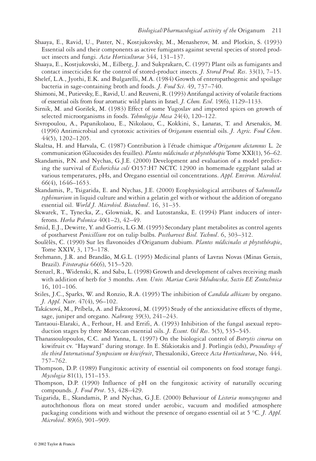- Shaaya, E., Ravid, U., Paster, N., Kostjukovsky, M., Menasherov, M. and Plotkin, S. (1993) Essential oils and their components as active fumigants against several species of stored product insects and fungi. *Acta Horticulturae* 344, 131–137.
- Shaaya, E., Kostjukovski, M., Eilberg, J. and Sukprakarn, C. (1997) Plant oils as fumigants and contact insecticides for the control of stored-product insects. *J. Stored Prod. Res*. 33(1), 7–15.
- Shelef, L.A., Jyothi, E.K. and Bulgarelli, M.A. (1984) Growth of enteropathogenic and spoilage bacteria in sage-containing broth and foods. *J. Food Sci*. 49, 737–740.
- Shimoni, M., Putievsky, E., Ravid, U. and Reuveni, R. (1993) Antifungal activity of volatile fractions of essential oils from four aromatic wild plants in Israel. *J. Chem. Ecol*. 19(6), 1129–1133.
- Sirnik, M. and Gorišek, M. (1983) Effect of some Yugoslav and imported spices on growth of selected microorganisms in foods. *Tehnologija Mesa* 24(4), 120–122.
- Sivropoulou, A., Papanikolaou, E., Nikolaou, C., Kokkini, S., Lanaras, T. and Arsenakis, M. (1996) Antimicrobial and cytotoxic activities of *Origanum* essential oils. *J. Agric. Food Chem*. 44(5), 1202–1205.
- Skaltsa, H. and Harvala, C. (1987) Contribution à l'étude chimique *d'Origanum dictamnus* L. 2e communication (Glucosides des feuilles). *Plantes médicinales et phytothérapie* Tome XXI(1), 56–62.
- Skandamis, P.N. and Nychas, G.J.E. (2000) Development and evaluation of a model predicting the survival of *Escherichia coli* O157:H7 NCTC 12900 in homemade eggplant salad at various temperatures, pHs, and Oregano essential oil concentrations. *Appl. Environ. Microbiol.* 66(4), 1646–1653.
- Skandamis, P., Tsigarida, E. and Nychas, J.E. (2000) Ecophysiological attributes of *Salmonella typhimurium* in liquid culture and within a gelatin gel with or without the addition of oregano essential oil. *World J. Microbiol. Biotechnol*. 16, 31–35.
- Skwarek, T., Tynecka, Z., Glowniak, K. and Lutostanska, E. (1994) Plant inducers of interferons. *Herba Polonica* 40(1–2), 42–49.
- Smid, E.J., Dewitte, Y. and Gorris, L.G.M. (1995) Secondary plant metabolites as control agents of postharvest *Penicillium* rot on tulip bulbs. *Postharvest Biol. Technol*. 6, 303–312.
- Soulèlès, C. (1990) Sur les flavonoides d'Origanum dubium. *Plantes médicinales et phytothérapie*, Tome XXIV, 3, 175–178.
- Stehmann, J.R. and Brandão, M.G.L. (1995) Medicinal plants of Lavras Novas (Minas Gerais, Brazil). *Fitoterapia* 66(6), 515–520.
- Stenzel, R., Widenski, K. and Saba, L. (1998) Growth and development of calves receiving mash with addition of herb for 3 months. *Ann. Univ. Mariae Curie Sklodowska, Sectio EE Zootechnica* 16, 101–106.
- Stiles, J.C., Sparks, W. and Ronzio, R.A. (1995) The inhibition of *Candida albicans* by oregano. *J. Appl. Nutr*. 47(4), 96–102.
- Takácsová, M., Príbela, A. and Faktorová, M. (1995) Study of the antioxidative effects of thyme, sage, juniper and oregano. *Nahrung* 39(3), 241–243.
- Tantaoui-Elaraki, A., Ferhout, H. and Errifi, A. (1993) Inhibition of the fungal asexual reproduction stages by three Moroccan essential oils. *J. Essent. Oil Res*. 5(5), 535–545.
- Thanassoulopoulos, C.C. and Yanna, L. (1997) On the biological control of *Botrytis cinerea* on kiwifruit cv. "Hayward" during storage. In E. Sfakiotakis and J. Porlingis (eds), *Proceedings of the third International Symposium on kiwifruit*, Thessaloniki, Greece *Acta Horticulturae*, No. 444, 757–762.
- Thompson, D.P. (1989) Fungitoxic activity of essential oil components on food storage fungi. *Mycologia* 81(1), 151–153.
- Thompson, D.P. (1990) Influence of pH on the fungitoxic activity of naturally occuring compounds. *J. Food Prot*. 53, 428–429.
- Tsigarida, E., Skandamis, P. and Nychas, G.J.E. (2000) Behaviour of *Listeria monocytogenes* and autochthonous flora on meat stored under aerobic, vacuum and modified atmosphere packaging conditions with and without the presence of oregano essential oil at 5 °C. *J. Appl. Microbiol*. 89(6), 901–909.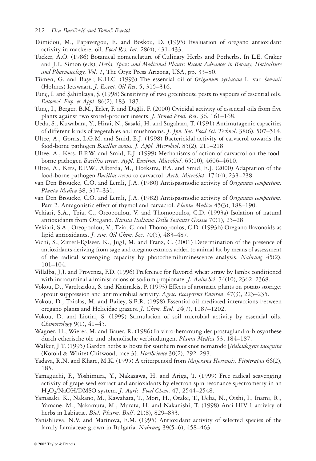- Tsimidou, M., Papavergou, E. and Boskou, D. (1995) Evaluation of oregano antioxidant activity in mackerel oil. *Food Res. Int*. 28(4), 431–433.
- Tucker, A.O. (1986) Botanical nomenclature of Culinary Herbs and Potherbs. In L.E. Craker and J.E. Simon (eds), *Herbs, Spices and Medicinal Plants: Recent Advances in Botany, Hoticulture and Pharmacology, Vol. 1*, The Oryx Press Arizona, USA, pp. 33–80.
- Tümen, G. and Başer, K.H.C. (1993) The essential oil of *Origanum syriacum* L. var. *bevanii* (Holmes) Ietswaart. *J. Essent. Oil Res*. 5, 315–316.
- Tunç, I. and Şahinkaya, Ş. (1998) Sensitivity of two greenhouse pests to vapours of essential oils. *Entomol. Exp. et Appl*. 86(2), 183–187.
- Tunc, I., Berger, B.M., Erler, F. and Dağli, F. (2000) Ovicidal activity of essential oils from five plants against two stored-product insects. *J. Stored Prod. Res*. 36, 161–168.
- Ueda, S., Kuwabara, Y., Hirai, N., Sasaki, H. and Sugahara, T. (1991) Antimutagenic capacities of different kinds of vegetables and mushrooms. *J. Jpn. Soc. Food Sci. Technol*. 38(6), 507–514.
- Ultee, A., Gorris, L.G.M. and Smid, E.J. (1998) Bactericidal activity of carvacrol towards the food-borne pathogen *Bacillus cereus. J. Appl. Microbiol*. 85(2), 211–218.
- Ultee, A., Kets, E.P.W. and Smid, E.J. (1999) Mechanisms of action of carvacrol on the foodborne pathogen *Bacillus cereus. Appl. Environ. Microbiol*. 65(10), 4606–4610.
- Ultee, A., Kets, E.P.W., Alberda, M., Hoekstra, F.A. and Smid, E.J. (2000) Adaptation of the food-borne pathogen *Bacillus cereus* to carvacrol. *Arch. Microbiol*. 174(4), 233–238.
- van Den Broucke, C.O. and Lemli, J.A. (1980) Antispasmodic activity of *Origanum compactum. Planta Medica* 38, 317–331.
- van Den Broucke, C.O. and Lemli, J.A. (1982) Antispasmodic activity of *Origanum compactum*. Part 2. Antagonistic effect of thymol and carvacrol. *Planta Medica* 45(3), 188–190.
- Vekiari, S.A., Tzia, C., Oreopoulou, V. and Thomopoulos, C.D. (1993a) Isolation of natural antioxidants from Oregano. *Rivista Italiana Delle Sostanze Grasse* 70(1), 25–28.
- Vekiari, S.A., Oreopoulou, V., Tzia, C. and Thomopoulos, C.D. (1993b) Oregano flavonoids as lipid antioxidants. *J. Am. Oil Chem. Soc*. 70(5), 483–487.
- Vichi, S., Zitterl-Eglseer, K., Jugl, M. and Franz, C. (2001) Determination of the presence of antioxidants deriving from sage and oregano extracts added to animal fat by means of assessment of the radical scavenging capacity by photochemiluminescence analysis. *Nahrung* 45(2), 101–104.
- Villalba, J.J. and Provenza, F.D. (1996) Preference for flavored wheat straw by lambs conditioned with intraruminal administrations of sodium propionate. *J. Anim Sci*. 74(10), 2362–2368.
- Vokou, D., Vareltzidou, S. and Katinakis, P. (1993) Effects of aromatic plants on potato storage: sprout suppression and antimicrobial activity. *Agric. Ecosystems Environ*. 47(3), 223–235.
- Vokou, D., Tziolas, M. and Bailey, S.E.R. (1998) Essential oil mediated interactions between oregano plants and Helicidae grazers. *J. Chem. Ecol*. 24(7), 1187–1202.
- Vokou, D. and Liotiri, S. (1999) Stimulation of soil microbial activity by essential oils. *Chemoecology* 9(1), 41–45.
- Wagner, H., Wierer, M. and Bauer, R. (1986) In vitro-hemmung der prostaglandin-biosynthese durch etherische öle und phenolische verbindungen. *Planta Medica* 53, 184–187.
- Walker, J.T. (1995) Garden herbs as hosts for southern rootknot nematode [*Meloidogyne incognita* (Kofoid & White) Chitwood, race 3]. *HortScience* 30(2), 292–293.
- Yadava, R.N. and Khare, M.K. (1995) A triterpenoid from *Majorana Hortensis. Fitoterapia* 66(2), 185.
- Yamaguchi, F., Yoshimura, Y., Nakazawa, H. and Ariga, T. (1999) Free radical scavenging activity of grape seed extract and antioxidants by electron spin resonance spectrometry in an H2O2/NaOH/DMSO system. *J. Agric. Food Chem*. 47, 2544–2548.
- Yamasaki, K., Nakano, M., Kawahata, T., Mori, H., Otake, T., Ueba, N., Oishi, I., Inami, R., Yamane, M., Nakamura, M., Murata, H. and Nakanishi, T. (1998) Anti-HIV-1 activity of herbs in Labiatae. *Biol. Pharm. Bull*. 21(8), 829–833.
- Yanishlieva, N.V. and Marinova, E.M. (1995) Antioxidant activity of selected species of the family Lamiaceae grown in Bulgaria. *Nahrung* 39(5–6), 458–463.